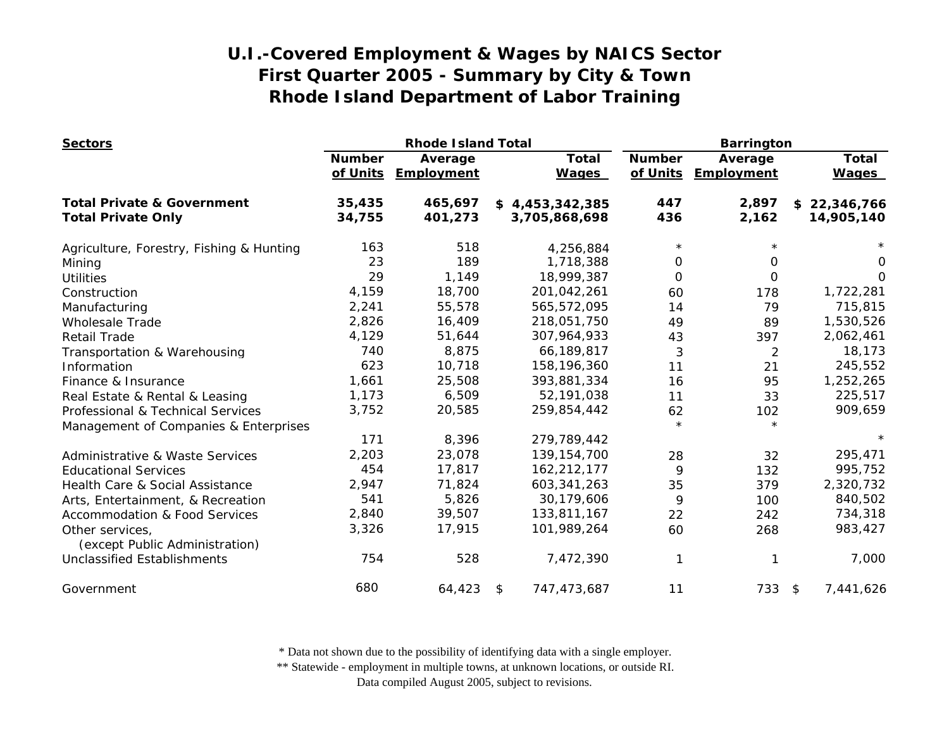| <b>Sectors</b>                                    |               | <b>Rhode Island Total</b>      |                              | <b>Barrington</b>         |                       |                              |
|---------------------------------------------------|---------------|--------------------------------|------------------------------|---------------------------|-----------------------|------------------------------|
|                                                   | <b>Number</b> | Average<br>of Units Employment | <b>Total</b><br><b>Wages</b> | <b>Number</b><br>of Units | Average<br>Employment | <b>Total</b><br><b>Wages</b> |
| <b>Total Private &amp; Government</b>             | 35,435        | 465,697                        | \$4,453,342,385              | 447                       | 2,897                 | \$22,346,766                 |
| <b>Total Private Only</b>                         | 34,755        | 401,273                        | 3,705,868,698                | 436                       | 2,162                 | 14,905,140                   |
| Agriculture, Forestry, Fishing & Hunting          | 163           | 518                            | 4,256,884                    | $\star$                   |                       |                              |
| Mining                                            | 23            | 189                            | 1,718,388                    | $\Omega$                  | 0                     | 0                            |
| <b>Utilities</b>                                  | 29            | 1,149                          | 18,999,387                   | $\Omega$                  | $\Omega$              | $\Omega$                     |
| Construction                                      | 4,159         | 18,700                         | 201,042,261                  | 60                        | 178                   | 1,722,281                    |
| Manufacturing                                     | 2,241         | 55,578                         | 565,572,095                  | 14                        | 79                    | 715,815                      |
| <b>Wholesale Trade</b>                            | 2,826         | 16,409                         | 218,051,750                  | 49                        | 89                    | 1,530,526                    |
| <b>Retail Trade</b>                               | 4,129         | 51,644                         | 307,964,933                  | 43                        | 397                   | 2,062,461                    |
| Transportation & Warehousing                      | 740           | 8,875                          | 66,189,817                   | 3                         | $\overline{2}$        | 18,173                       |
| Information                                       | 623           | 10,718                         | 158,196,360                  | 11                        | 21                    | 245,552                      |
| Finance & Insurance                               | 1,661         | 25,508                         | 393,881,334                  | 16                        | 95                    | 1,252,265                    |
| Real Estate & Rental & Leasing                    | 1,173         | 6,509                          | 52,191,038                   | 11                        | 33                    | 225,517                      |
| Professional & Technical Services                 | 3,752         | 20,585                         | 259,854,442                  | 62                        | 102                   | 909,659                      |
| Management of Companies & Enterprises             |               |                                |                              | $\star$                   | $\star$               |                              |
|                                                   | 171           | 8,396                          | 279,789,442                  |                           |                       | $\star$                      |
| <b>Administrative &amp; Waste Services</b>        | 2,203         | 23,078                         | 139, 154, 700                | 28                        | 32                    | 295,471                      |
| <b>Educational Services</b>                       | 454           | 17,817                         | 162,212,177                  | 9                         | 132                   | 995,752                      |
| Health Care & Social Assistance                   | 2,947         | 71,824                         | 603, 341, 263                | 35                        | 379                   | 2,320,732                    |
| Arts, Entertainment, & Recreation                 | 541           | 5,826                          | 30,179,606                   | 9                         | 100                   | 840,502                      |
| <b>Accommodation &amp; Food Services</b>          | 2,840         | 39,507                         | 133,811,167                  | 22                        | 242                   | 734,318                      |
| Other services,<br>(except Public Administration) | 3,326         | 17,915                         | 101,989,264                  | 60                        | 268                   | 983,427                      |
| <b>Unclassified Establishments</b>                | 754           | 528                            | 7,472,390                    |                           |                       | 7,000                        |
| Government                                        | 680           | 64,423                         | 747,473,687<br>\$            | 11                        | 733 \$                | 7,441,626                    |

\* Data not shown due to the possibility of identifying data with a single employer.

\*\* Statewide - employment in multiple towns, at unknown locations, or outside RI.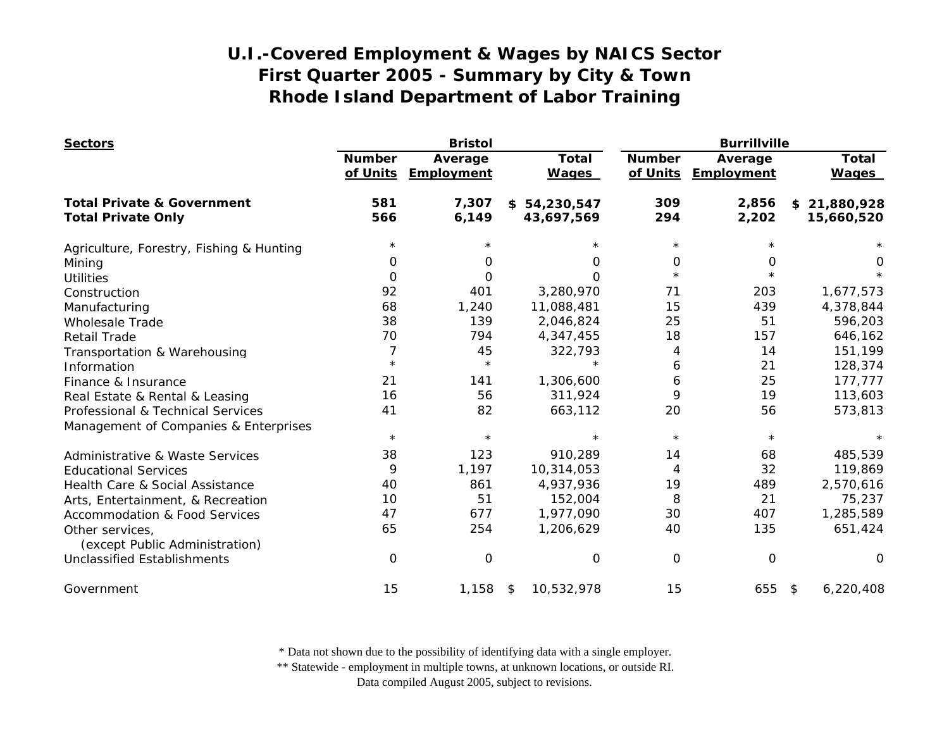| <b>Sectors</b>                                    |                           | <b>Bristol</b>        |                              |                           | <b>Burrillville</b>   |                              |  |  |
|---------------------------------------------------|---------------------------|-----------------------|------------------------------|---------------------------|-----------------------|------------------------------|--|--|
|                                                   | <b>Number</b><br>of Units | Average<br>Employment | <b>Total</b><br><b>Wages</b> | <b>Number</b><br>of Units | Average<br>Employment | <b>Total</b><br><b>Wages</b> |  |  |
| <b>Total Private &amp; Government</b>             | 581                       | 7,307                 | \$54,230,547                 | 309                       | 2,856                 | \$21,880,928                 |  |  |
| <b>Total Private Only</b>                         | 566                       | 6,149                 | 43,697,569                   | 294                       | 2,202                 | 15,660,520                   |  |  |
| Agriculture, Forestry, Fishing & Hunting          | $^\star$                  |                       |                              | $^\star$                  |                       |                              |  |  |
| Mining                                            | 0                         | O                     | 0                            | 0                         | 0                     | 0                            |  |  |
| <b>Utilities</b>                                  | $\Omega$                  | O                     | $\Omega$                     | $\star$                   |                       |                              |  |  |
| Construction                                      | 92                        | 401                   | 3,280,970                    | 71                        | 203                   | 1,677,573                    |  |  |
| Manufacturing                                     | 68                        | 1,240                 | 11,088,481                   | 15                        | 439                   | 4,378,844                    |  |  |
| <b>Wholesale Trade</b>                            | 38                        | 139                   | 2,046,824                    | 25                        | 51                    | 596,203                      |  |  |
| <b>Retail Trade</b>                               | 70                        | 794                   | 4,347,455                    | 18                        | 157                   | 646,162                      |  |  |
| Transportation & Warehousing                      | 7                         | 45                    | 322,793                      | 4                         | 14                    | 151,199                      |  |  |
| Information                                       | $\star$                   | $\star$               |                              | 6                         | 21                    | 128,374                      |  |  |
| Finance & Insurance                               | 21                        | 141                   | 1,306,600                    | 6                         | 25                    | 177,777                      |  |  |
| Real Estate & Rental & Leasing                    | 16                        | 56                    | 311,924                      | 9                         | 19                    | 113,603                      |  |  |
| Professional & Technical Services                 | 41                        | 82                    | 663,112                      | 20                        | 56                    | 573,813                      |  |  |
| Management of Companies & Enterprises             |                           |                       |                              |                           |                       |                              |  |  |
|                                                   | $\star$                   | $\star$               | $\star$                      | $\star$                   | $\star$               |                              |  |  |
| <b>Administrative &amp; Waste Services</b>        | 38                        | 123                   | 910,289                      | 14                        | 68                    | 485,539                      |  |  |
| <b>Educational Services</b>                       | 9                         | 1,197                 | 10,314,053                   | 4                         | 32                    | 119,869                      |  |  |
| Health Care & Social Assistance                   | 40                        | 861                   | 4,937,936                    | 19                        | 489                   | 2,570,616                    |  |  |
| Arts, Entertainment, & Recreation                 | 10                        | 51                    | 152,004                      | 8                         | 21                    | 75,237                       |  |  |
| <b>Accommodation &amp; Food Services</b>          | 47                        | 677                   | 1,977,090                    | 30                        | 407                   | 1,285,589                    |  |  |
| Other services,<br>(except Public Administration) | 65                        | 254                   | 1,206,629                    | 40                        | 135                   | 651,424                      |  |  |
| <b>Unclassified Establishments</b>                | $\Omega$                  | 0                     | 0                            | 0                         | $\mathbf 0$           | $\Omega$                     |  |  |
| Government                                        | 15                        | 1,158                 | 10,532,978<br>\$             | 15                        | 655 \$                | 6,220,408                    |  |  |

\* Data not shown due to the possibility of identifying data with a single employer.

\*\* Statewide - employment in multiple towns, at unknown locations, or outside RI.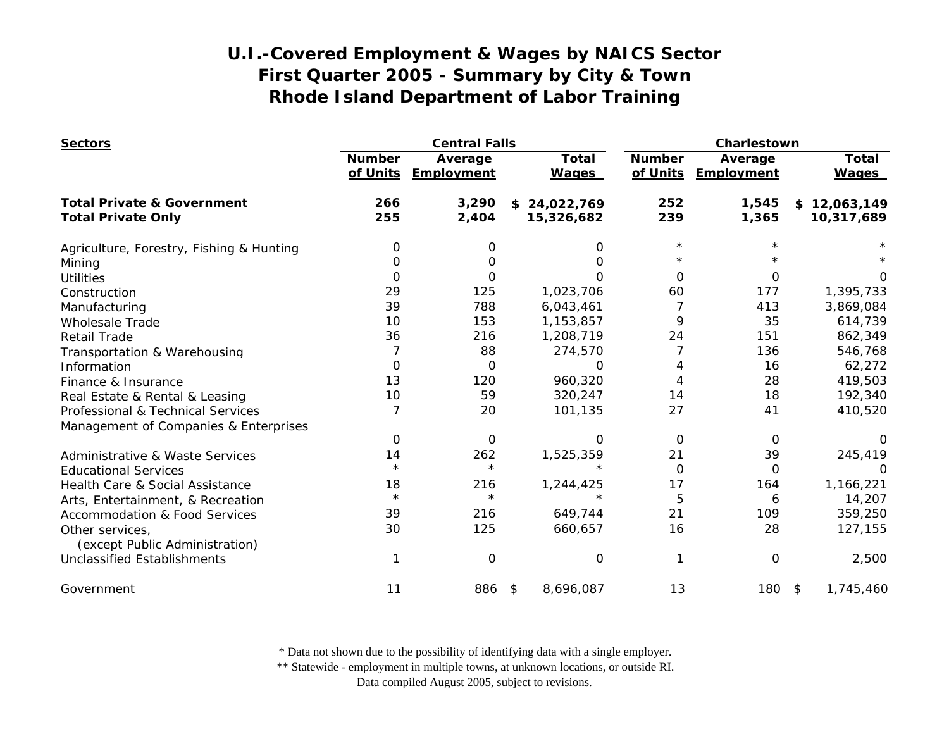| <b>Sectors</b>                                    |                           | <b>Central Falls</b>         |                              |                           | Charlestown           |                              |  |
|---------------------------------------------------|---------------------------|------------------------------|------------------------------|---------------------------|-----------------------|------------------------------|--|
|                                                   | <b>Number</b><br>of Units | Average<br><b>Employment</b> | <b>Total</b><br><b>Wages</b> | <b>Number</b><br>of Units | Average<br>Employment | <b>Total</b><br><b>Wages</b> |  |
| <b>Total Private &amp; Government</b>             | 266                       | 3,290                        | \$24,022,769                 | 252                       | 1,545                 | \$12,063,149                 |  |
| <b>Total Private Only</b>                         | 255                       | 2,404                        | 15,326,682                   | 239                       | 1,365                 | 10,317,689                   |  |
| Agriculture, Forestry, Fishing & Hunting          | 0                         | 0                            | 0                            | $^\star$                  |                       |                              |  |
| Mining                                            | 0                         | 0                            | O                            |                           |                       |                              |  |
| <b>Utilities</b>                                  | $\Omega$                  | 0                            | Ω                            | $\Omega$                  | $\Omega$              |                              |  |
| Construction                                      | 29                        | 125                          | 1,023,706                    | 60                        | 177                   | 1,395,733                    |  |
| Manufacturing                                     | 39                        | 788                          | 6,043,461                    | 7                         | 413                   | 3,869,084                    |  |
| <b>Wholesale Trade</b>                            | 10                        | 153                          | 1,153,857                    | 9                         | 35                    | 614,739                      |  |
| <b>Retail Trade</b>                               | 36                        | 216                          | 1,208,719                    | 24                        | 151                   | 862,349                      |  |
| Transportation & Warehousing                      |                           | 88                           | 274,570                      |                           | 136                   | 546,768                      |  |
| Information                                       | $\Omega$                  | $\Omega$                     | ∩                            | 4                         | 16                    | 62,272                       |  |
| Finance & Insurance                               | 13                        | 120                          | 960,320                      | 4                         | 28                    | 419,503                      |  |
| Real Estate & Rental & Leasing                    | 10                        | 59                           | 320,247                      | 14                        | 18                    | 192,340                      |  |
| Professional & Technical Services                 | $\overline{7}$            | 20                           | 101,135                      | 27                        | 41                    | 410,520                      |  |
| Management of Companies & Enterprises             |                           |                              |                              |                           |                       |                              |  |
|                                                   | 0                         | 0                            | O                            | $\Omega$                  | 0                     |                              |  |
| <b>Administrative &amp; Waste Services</b>        | 14                        | 262                          | 1,525,359                    | 21                        | 39                    | 245,419                      |  |
| <b>Educational Services</b>                       | $\star$                   | $\star$                      |                              | 0                         | 0                     | 0                            |  |
| Health Care & Social Assistance                   | 18                        | 216                          | 1,244,425                    | 17                        | 164                   | 1,166,221                    |  |
| Arts, Entertainment, & Recreation                 | $\star$                   | $\star$                      |                              | 5                         | 6                     | 14,207                       |  |
| <b>Accommodation &amp; Food Services</b>          | 39                        | 216                          | 649,744                      | 21                        | 109                   | 359,250                      |  |
| Other services,<br>(except Public Administration) | 30                        | 125                          | 660,657                      | 16                        | 28                    | 127,155                      |  |
| <b>Unclassified Establishments</b>                |                           | 0                            | 0                            | 1                         | $\mathbf 0$           | 2,500                        |  |
| Government                                        | 11                        | 886                          | 8,696,087<br>\$              | 13                        | $180*$                | 1,745,460                    |  |

\* Data not shown due to the possibility of identifying data with a single employer.

\*\* Statewide - employment in multiple towns, at unknown locations, or outside RI.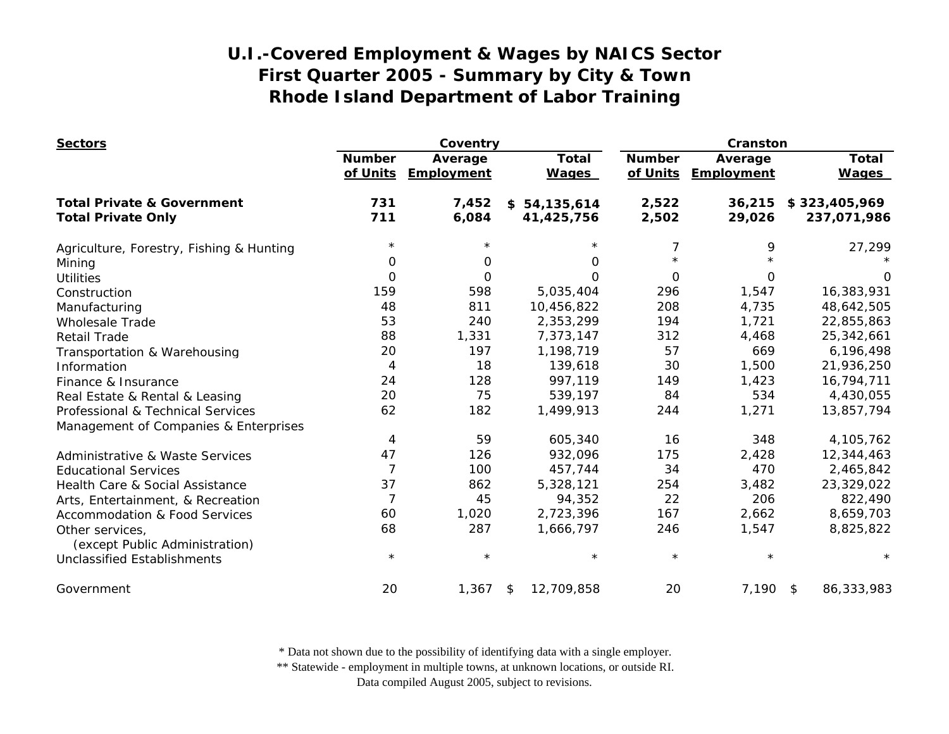| <b>Sectors</b>                             |                | Coventry   |                  |               | Cranston   |               |
|--------------------------------------------|----------------|------------|------------------|---------------|------------|---------------|
|                                            | <b>Number</b>  | Average    | <b>Total</b>     | <b>Number</b> | Average    | <b>Total</b>  |
|                                            | of Units       | Employment | <b>Wages</b>     | of Units      | Employment | <b>Wages</b>  |
| <b>Total Private &amp; Government</b>      | 731            | 7,452      | \$54,135,614     | 2,522         | 36,215     | \$323,405,969 |
| <b>Total Private Only</b>                  | 711            | 6,084      | 41,425,756       | 2,502         | 29,026     | 237,071,986   |
| Agriculture, Forestry, Fishing & Hunting   | $^\star$       |            |                  | 7             | 9          | 27,299        |
| Mining                                     | 0              | 0          | 0                | $\star$       |            |               |
| <b>Utilities</b>                           | $\Omega$       | O          | $\Omega$         | $\Omega$      | $\Omega$   | $\Omega$      |
| Construction                               | 159            | 598        | 5,035,404        | 296           | 1,547      | 16,383,931    |
| Manufacturing                              | 48             | 811        | 10,456,822       | 208           | 4,735      | 48,642,505    |
| <b>Wholesale Trade</b>                     | 53             | 240        | 2,353,299        | 194           | 1,721      | 22,855,863    |
| <b>Retail Trade</b>                        | 88             | 1,331      | 7,373,147        | 312           | 4,468      | 25,342,661    |
| Transportation & Warehousing               | 20             | 197        | 1,198,719        | 57            | 669        | 6,196,498     |
| Information                                | 4              | 18         | 139,618          | 30            | 1,500      | 21,936,250    |
| Finance & Insurance                        | 24             | 128        | 997,119          | 149           | 1,423      | 16,794,711    |
| Real Estate & Rental & Leasing             | 20             | 75         | 539,197          | 84            | 534        | 4,430,055     |
| Professional & Technical Services          | 62             | 182        | 1,499,913        | 244           | 1,271      | 13,857,794    |
| Management of Companies & Enterprises      |                |            |                  |               |            |               |
|                                            | 4              | 59         | 605,340          | 16            | 348        | 4,105,762     |
| <b>Administrative &amp; Waste Services</b> | 47             | 126        | 932,096          | 175           | 2,428      | 12,344,463    |
| <b>Educational Services</b>                | $\overline{7}$ | 100        | 457,744          | 34            | 470        | 2,465,842     |
| Health Care & Social Assistance            | 37             | 862        | 5,328,121        | 254           | 3,482      | 23,329,022    |
| Arts, Entertainment, & Recreation          | $\overline{7}$ | 45         | 94,352           | 22            | 206        | 822,490       |
| <b>Accommodation &amp; Food Services</b>   | 60             | 1,020      | 2,723,396        | 167           | 2,662      | 8,659,703     |
| Other services,                            | 68             | 287        | 1,666,797        | 246           | 1,547      | 8,825,822     |
| (except Public Administration)             |                |            |                  |               |            |               |
| Unclassified Establishments                | $\star$        | $\star$    | $\star$          | $\star$       |            | $^\star$      |
| Government                                 | 20             | 1,367      | 12,709,858<br>\$ | 20            | 7,190 \$   | 86,333,983    |

\* Data not shown due to the possibility of identifying data with a single employer.

\*\* Statewide - employment in multiple towns, at unknown locations, or outside RI.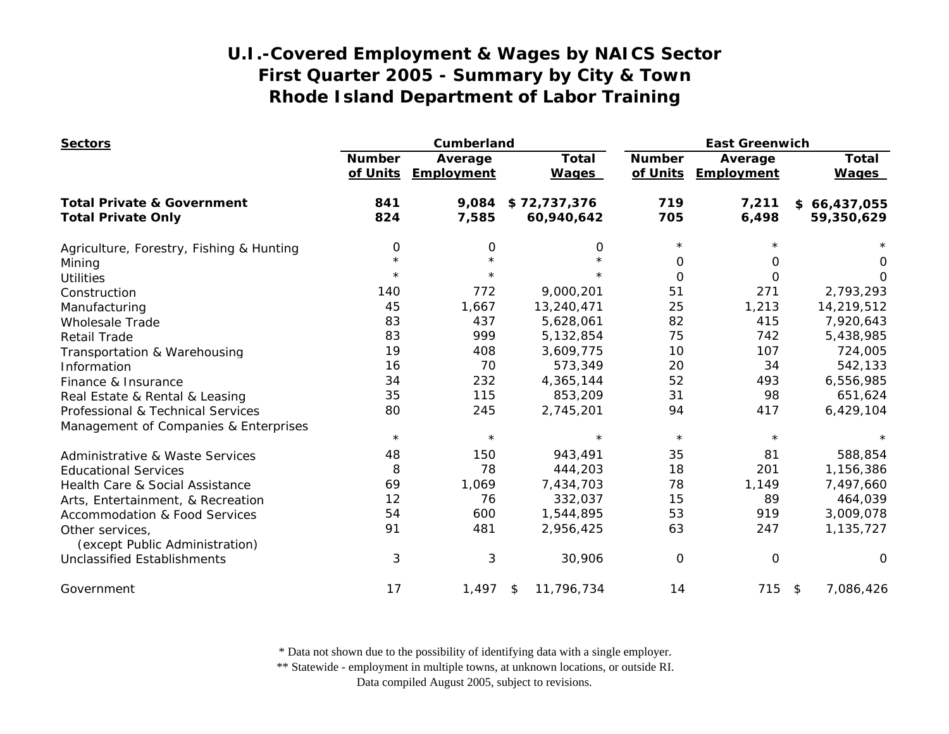| <b>Sectors</b>                             |                           | Cumberland            |                              |                           | <b>East Greenwich</b> |                              |  |
|--------------------------------------------|---------------------------|-----------------------|------------------------------|---------------------------|-----------------------|------------------------------|--|
|                                            | <b>Number</b><br>of Units | Average<br>Employment | <b>Total</b><br><b>Wages</b> | <b>Number</b><br>of Units | Average<br>Employment | <b>Total</b><br><b>Wages</b> |  |
| <b>Total Private &amp; Government</b>      | 841                       | 9,084                 | \$72,737,376                 | 719                       | 7,211                 | \$66,437,055                 |  |
| <b>Total Private Only</b>                  | 824                       | 7,585                 | 60,940,642                   | 705                       | 6,498                 | 59,350,629                   |  |
| Agriculture, Forestry, Fishing & Hunting   | 0                         | 0                     | 0                            | $\star$                   |                       |                              |  |
| Mining                                     | $\star$                   |                       | $\star$                      | 0                         | 0                     | 0                            |  |
| <b>Utilities</b>                           | $^\star$                  | $\star$               | $\star$                      | $\Omega$                  | $\Omega$              | $\Omega$                     |  |
| Construction                               | 140                       | 772                   | 9,000,201                    | 51                        | 271                   | 2,793,293                    |  |
| Manufacturing                              | 45                        | 1,667                 | 13,240,471                   | 25                        | 1,213                 | 14,219,512                   |  |
| <b>Wholesale Trade</b>                     | 83                        | 437                   | 5,628,061                    | 82                        | 415                   | 7,920,643                    |  |
| <b>Retail Trade</b>                        | 83                        | 999                   | 5,132,854                    | 75                        | 742                   | 5,438,985                    |  |
| Transportation & Warehousing               | 19                        | 408                   | 3,609,775                    | 10                        | 107                   | 724,005                      |  |
| Information                                | 16                        | 70                    | 573,349                      | 20                        | 34                    | 542,133                      |  |
| Finance & Insurance                        | 34                        | 232                   | 4,365,144                    | 52                        | 493                   | 6,556,985                    |  |
| Real Estate & Rental & Leasing             | 35                        | 115                   | 853,209                      | 31                        | 98                    | 651,624                      |  |
| Professional & Technical Services          | 80                        | 245                   | 2,745,201                    | 94                        | 417                   | 6,429,104                    |  |
| Management of Companies & Enterprises      | $\star$                   | $\star$               | $\star$                      | $\star$                   | $\star$               |                              |  |
| <b>Administrative &amp; Waste Services</b> | 48                        | 150                   | 943,491                      | 35                        | 81                    | 588,854                      |  |
| <b>Educational Services</b>                | 8                         | 78                    | 444,203                      | 18                        | 201                   | 1,156,386                    |  |
| Health Care & Social Assistance            | 69                        | 1,069                 | 7,434,703                    | 78                        | 1,149                 | 7,497,660                    |  |
| Arts, Entertainment, & Recreation          | 12                        | 76                    | 332,037                      | 15                        | 89                    | 464,039                      |  |
| <b>Accommodation &amp; Food Services</b>   | 54                        | 600                   | 1,544,895                    | 53                        | 919                   | 3,009,078                    |  |
| Other services,                            | 91                        | 481                   | 2,956,425                    | 63                        | 247                   | 1,135,727                    |  |
| (except Public Administration)             |                           |                       |                              |                           |                       |                              |  |
| <b>Unclassified Establishments</b>         | 3                         | 3                     | 30,906                       | $\Omega$                  | $\mathbf 0$           | $\Omega$                     |  |
| Government                                 | 17                        | 1,497                 | 11,796,734<br>\$             | 14                        | $715$ \$              | 7,086,426                    |  |

\* Data not shown due to the possibility of identifying data with a single employer.

\*\* Statewide - employment in multiple towns, at unknown locations, or outside RI.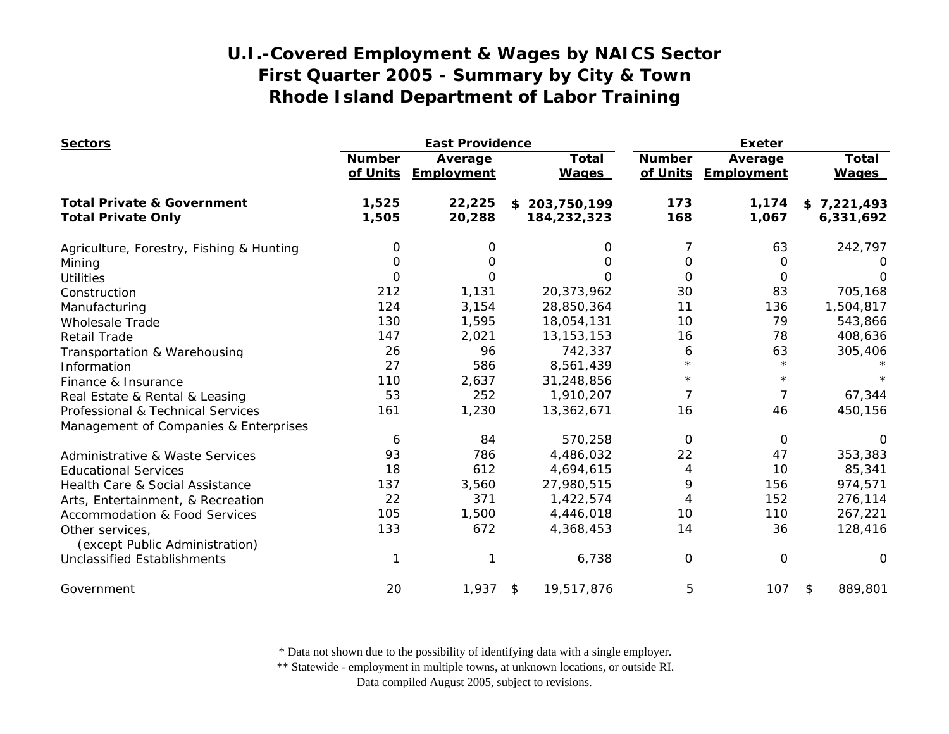| <b>Sectors</b>                                    |                           | <b>East Providence</b> |                              | <b>Exeter</b>             |                       |                              |
|---------------------------------------------------|---------------------------|------------------------|------------------------------|---------------------------|-----------------------|------------------------------|
|                                                   | <b>Number</b><br>of Units | Average<br>Employment  | <b>Total</b><br><b>Wages</b> | <b>Number</b><br>of Units | Average<br>Employment | <b>Total</b><br><b>Wages</b> |
| <b>Total Private &amp; Government</b>             | 1,525                     | 22,225                 | \$203,750,199                | 173                       | 1,174                 | \$7,221,493                  |
| <b>Total Private Only</b>                         | 1,505                     | 20,288                 | 184,232,323                  | 168                       | 1,067                 | 6,331,692                    |
| Agriculture, Forestry, Fishing & Hunting          | 0                         | 0                      | 0                            | 7                         | 63                    | 242,797                      |
| Mining                                            | $\Omega$                  | 0                      | $\Omega$                     | 0                         | 0                     | 0                            |
| <b>Utilities</b>                                  | 0                         | 0                      | 0                            | 0                         | 0                     | $\Omega$                     |
| Construction                                      | 212                       | 1,131                  | 20,373,962                   | 30                        | 83                    | 705,168                      |
| Manufacturing                                     | 124                       | 3,154                  | 28,850,364                   | 11                        | 136                   | 1,504,817                    |
| <b>Wholesale Trade</b>                            | 130                       | 1,595                  | 18,054,131                   | 10                        | 79                    | 543,866                      |
| <b>Retail Trade</b>                               | 147                       | 2,021                  | 13, 153, 153                 | 16                        | 78                    | 408,636                      |
| Transportation & Warehousing                      | 26                        | 96                     | 742,337                      | 6                         | 63                    | 305,406                      |
| Information                                       | 27                        | 586                    | 8,561,439                    | $\star$                   | $\star$               |                              |
| Finance & Insurance                               | 110                       | 2,637                  | 31,248,856                   | $^\star$                  | $\star$               |                              |
| Real Estate & Rental & Leasing                    | 53                        | 252                    | 1,910,207                    | 7                         | 7                     | 67,344                       |
| Professional & Technical Services                 | 161                       | 1,230                  | 13,362,671                   | 16                        | 46                    | 450,156                      |
| Management of Companies & Enterprises             |                           |                        |                              |                           |                       |                              |
|                                                   | 6                         | 84                     | 570,258                      | 0                         | 0                     | $\Omega$                     |
| <b>Administrative &amp; Waste Services</b>        | 93                        | 786                    | 4,486,032                    | 22                        | 47                    | 353,383                      |
| <b>Educational Services</b>                       | 18                        | 612                    | 4,694,615                    | 4                         | 10                    | 85,341                       |
| Health Care & Social Assistance                   | 137                       | 3,560                  | 27,980,515                   | 9                         | 156                   | 974,571                      |
| Arts, Entertainment, & Recreation                 | 22                        | 371                    | 1,422,574                    | 4                         | 152                   | 276,114                      |
| <b>Accommodation &amp; Food Services</b>          | 105                       | 1,500                  | 4,446,018                    | 10                        | 110                   | 267,221                      |
| Other services,<br>(except Public Administration) | 133                       | 672                    | 4,368,453                    | 14                        | 36                    | 128,416                      |
| <b>Unclassified Establishments</b>                |                           |                        | 6,738                        | 0                         | 0                     | $\Omega$                     |
| Government                                        | 20                        | 1,937                  | 19,517,876<br>\$             | 5                         | 107                   | 889,801<br>\$                |

\* Data not shown due to the possibility of identifying data with a single employer.

\*\* Statewide - employment in multiple towns, at unknown locations, or outside RI.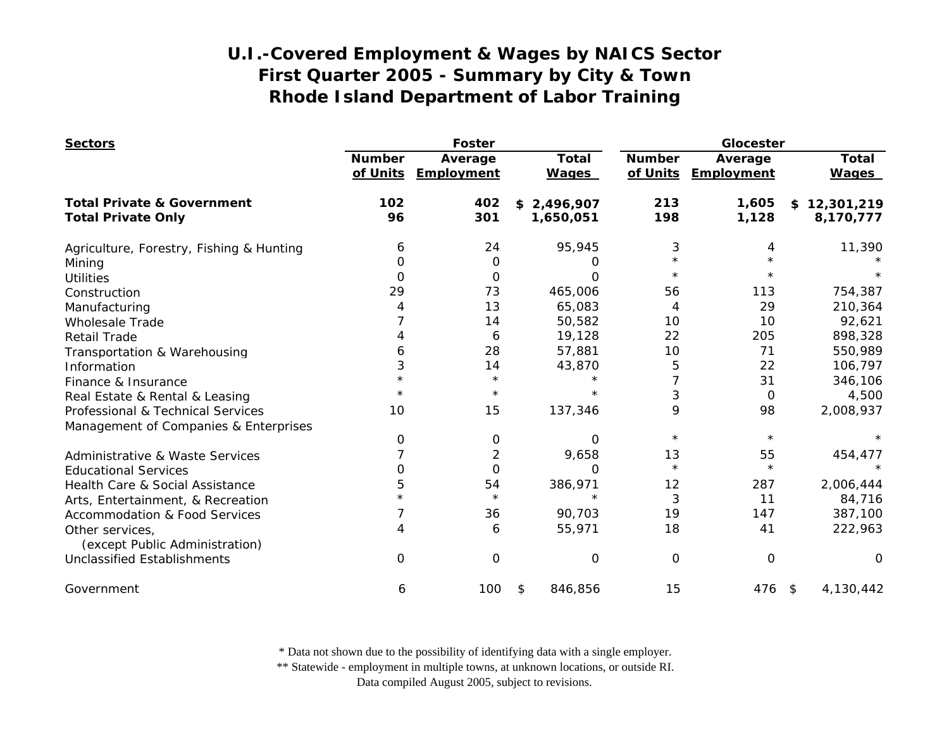| <b>Sectors</b>                                    |                           | <b>Foster</b>         |                              |                           | Glocester             |                              |  |
|---------------------------------------------------|---------------------------|-----------------------|------------------------------|---------------------------|-----------------------|------------------------------|--|
|                                                   | <b>Number</b><br>of Units | Average<br>Employment | <b>Total</b><br><b>Wages</b> | <b>Number</b><br>of Units | Average<br>Employment | <b>Total</b><br><b>Wages</b> |  |
| <b>Total Private &amp; Government</b>             | 102                       | 402                   | \$2,496,907                  | 213                       | 1,605                 | \$12,301,219                 |  |
| <b>Total Private Only</b>                         | 96                        | 301                   | 1,650,051                    | 198                       | 1,128                 | 8,170,777                    |  |
| Agriculture, Forestry, Fishing & Hunting          | 6                         | 24                    | 95,945                       | 3                         | 4                     | 11,390                       |  |
| Mining                                            | O                         | 0                     | O                            | $\star$                   | $\star$               |                              |  |
| <b>Utilities</b>                                  | 0                         | 0                     | $\Omega$                     | $\star$                   |                       |                              |  |
| Construction                                      | 29                        | 73                    | 465,006                      | 56                        | 113                   | 754,387                      |  |
| Manufacturing                                     |                           | 13                    | 65,083                       | 4                         | 29                    | 210,364                      |  |
| <b>Wholesale Trade</b>                            |                           | 14                    | 50,582                       | 10                        | 10                    | 92,621                       |  |
| Retail Trade                                      |                           | 6                     | 19,128                       | 22                        | 205                   | 898,328                      |  |
| Transportation & Warehousing                      | 6                         | 28                    | 57,881                       | 10                        | 71                    | 550,989                      |  |
| Information                                       | 3                         | 14                    | 43,870                       | 5                         | 22                    | 106,797                      |  |
| Finance & Insurance                               |                           | $\star$               | $\star$                      | 7                         | 31                    | 346,106                      |  |
| Real Estate & Rental & Leasing                    |                           | $^\star$              |                              | 3                         | 0                     | 4,500                        |  |
| Professional & Technical Services                 | 10                        | 15                    | 137,346                      | 9                         | 98                    | 2,008,937                    |  |
| Management of Companies & Enterprises             |                           |                       |                              |                           |                       |                              |  |
|                                                   | 0                         | 0                     | $\Omega$                     | $\star$                   | $\star$               |                              |  |
| Administrative & Waste Services                   |                           | $\overline{2}$        | 9,658                        | 13                        | 55                    | 454,477                      |  |
| <b>Educational Services</b>                       | Ω                         | $\Omega$              | O                            | $\star$                   | $\star$               | $\star$                      |  |
| Health Care & Social Assistance                   | 5                         | 54                    | 386,971                      | 12                        | 287                   | 2,006,444                    |  |
| Arts, Entertainment, & Recreation                 |                           | $\star$               | $\star$                      | 3                         | 11                    | 84,716                       |  |
| <b>Accommodation &amp; Food Services</b>          |                           | 36                    | 90,703                       | 19                        | 147                   | 387,100                      |  |
| Other services,<br>(except Public Administration) | 4                         | 6                     | 55,971                       | 18                        | 41                    | 222,963                      |  |
| <b>Unclassified Establishments</b>                | $\Omega$                  | 0                     | O                            | 0                         | $\mathbf 0$           | $\Omega$                     |  |
| Government                                        | 6                         | 100                   | 846,856<br>\$                | 15                        | 476 \$                | 4,130,442                    |  |

\* Data not shown due to the possibility of identifying data with a single employer.

\*\* Statewide - employment in multiple towns, at unknown locations, or outside RI.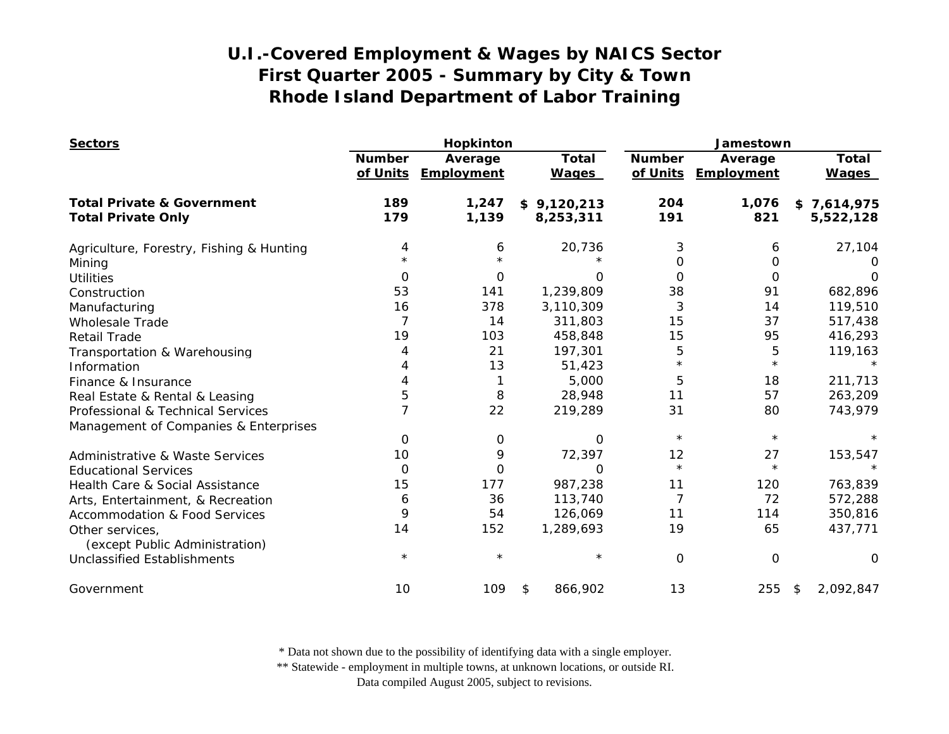| <b>Sectors</b>                                    |               | Hopkinton                      |                              |                           | Jamestown             |                              |  |  |
|---------------------------------------------------|---------------|--------------------------------|------------------------------|---------------------------|-----------------------|------------------------------|--|--|
|                                                   | <b>Number</b> | Average<br>of Units Employment | <b>Total</b><br><b>Wages</b> | <b>Number</b><br>of Units | Average<br>Employment | <b>Total</b><br><b>Wages</b> |  |  |
| <b>Total Private &amp; Government</b>             | 189           | 1,247                          | \$9,120,213                  | 204                       | 1,076                 | \$7,614,975                  |  |  |
| <b>Total Private Only</b>                         | 179           | 1,139                          | 8,253,311                    | 191                       | 821                   | 5,522,128                    |  |  |
| Agriculture, Forestry, Fishing & Hunting          | 4             | 6                              | 20,736                       | 3                         | 6                     | 27,104                       |  |  |
| Mining                                            |               |                                |                              | 0                         | 0                     | $\Omega$                     |  |  |
| <b>Utilities</b>                                  | $\Omega$      | 0                              | $\Omega$                     | 0                         | $\Omega$              | $\Omega$                     |  |  |
| Construction                                      | 53            | 141                            | 1,239,809                    | 38                        | 91                    | 682,896                      |  |  |
| Manufacturing                                     | 16            | 378                            | 3,110,309                    | 3                         | 14                    | 119,510                      |  |  |
| <b>Wholesale Trade</b>                            |               | 14                             | 311,803                      | 15                        | 37                    | 517,438                      |  |  |
| <b>Retail Trade</b>                               | 19            | 103                            | 458,848                      | 15                        | 95                    | 416,293                      |  |  |
| Transportation & Warehousing                      |               | 21                             | 197,301                      | 5                         | 5                     | 119,163                      |  |  |
| Information                                       | 4             | 13                             | 51,423                       | $\star$                   | $\star$               |                              |  |  |
| Finance & Insurance                               |               |                                | 5,000                        | 5                         | 18                    | 211,713                      |  |  |
| Real Estate & Rental & Leasing                    | 5             | 8                              | 28,948                       | 11                        | 57                    | 263,209                      |  |  |
| Professional & Technical Services                 |               | 22                             | 219,289                      | 31                        | 80                    | 743,979                      |  |  |
| Management of Companies & Enterprises             |               |                                |                              |                           |                       |                              |  |  |
|                                                   | 0             | 0                              | $\Omega$                     | $\star$                   | $\star$               |                              |  |  |
| Administrative & Waste Services                   | 10            | 9                              | 72,397                       | 12                        | 27                    | 153,547                      |  |  |
| <b>Educational Services</b>                       | 0             | 0                              | $\Omega$                     | $\star$                   | $\star$               |                              |  |  |
| Health Care & Social Assistance                   | 15            | 177                            | 987,238                      | 11                        | 120                   | 763,839                      |  |  |
| Arts, Entertainment, & Recreation                 | 6             | 36                             | 113,740                      | 7                         | 72                    | 572,288                      |  |  |
| <b>Accommodation &amp; Food Services</b>          | 9             | 54                             | 126,069                      | 11                        | 114                   | 350,816                      |  |  |
| Other services,<br>(except Public Administration) | 14            | 152                            | 1,289,693                    | 19                        | 65                    | 437,771                      |  |  |
| <b>Unclassified Establishments</b>                | $\star$       | $\star$                        | $\star$                      | 0                         | $\Omega$              | $\Omega$                     |  |  |
| Government                                        | 10            | 109                            | \$<br>866,902                | 13                        | 255                   | 2,092,847<br>$\frac{1}{2}$   |  |  |

\* Data not shown due to the possibility of identifying data with a single employer.

\*\* Statewide - employment in multiple towns, at unknown locations, or outside RI.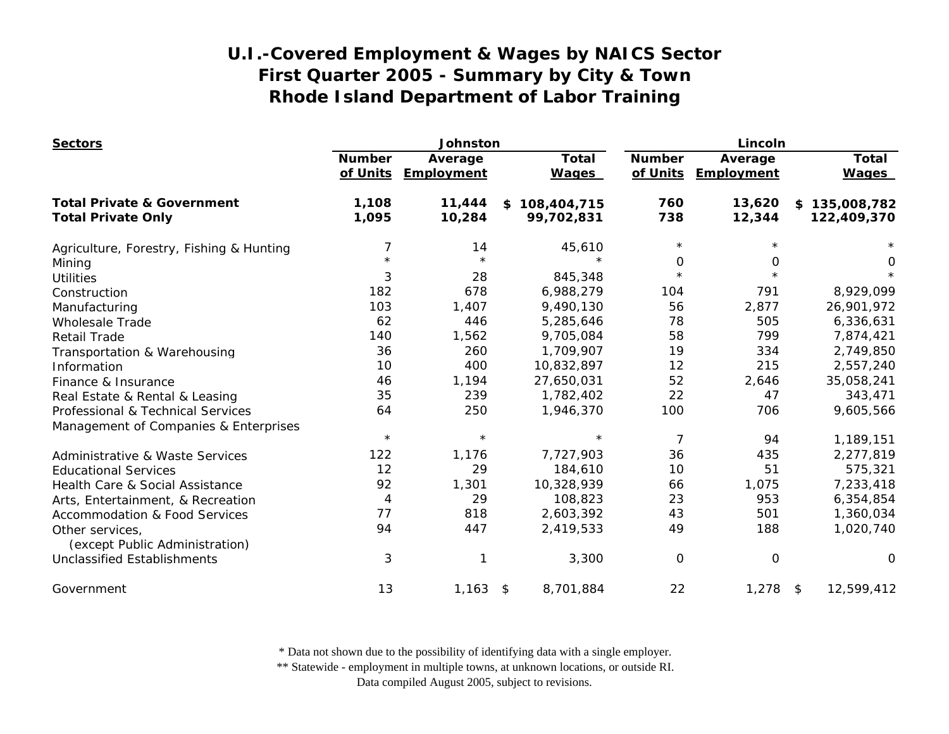| <b>Sectors</b>                                    | Johnston                  |                       |    |                              | Lincoln                   |                       |  |                              |
|---------------------------------------------------|---------------------------|-----------------------|----|------------------------------|---------------------------|-----------------------|--|------------------------------|
|                                                   | <b>Number</b><br>of Units | Average<br>Employment |    | <b>Total</b><br><b>Wages</b> | <b>Number</b><br>of Units | Average<br>Employment |  | <b>Total</b><br><b>Wages</b> |
| <b>Total Private &amp; Government</b>             | 1,108                     | 11,444                | \$ | 108,404,715                  | 760                       | 13,620                |  | \$135,008,782                |
| <b>Total Private Only</b>                         | 1,095                     | 10,284                |    | 99,702,831                   | 738                       | 12,344                |  | 122,409,370                  |
| Agriculture, Forestry, Fishing & Hunting          | 7                         | 14                    |    | 45,610                       | $\star$                   |                       |  |                              |
| Mining                                            |                           | $\star$               |    |                              | 0                         | 0                     |  | 0                            |
| <b>Utilities</b>                                  | 3                         | 28                    |    | 845,348                      | $\star$                   |                       |  |                              |
| Construction                                      | 182                       | 678                   |    | 6,988,279                    | 104                       | 791                   |  | 8,929,099                    |
| Manufacturing                                     | 103                       | 1,407                 |    | 9,490,130                    | 56                        | 2,877                 |  | 26,901,972                   |
| <b>Wholesale Trade</b>                            | 62                        | 446                   |    | 5,285,646                    | 78                        | 505                   |  | 6,336,631                    |
| <b>Retail Trade</b>                               | 140                       | 1,562                 |    | 9,705,084                    | 58                        | 799                   |  | 7,874,421                    |
| Transportation & Warehousing                      | 36                        | 260                   |    | 1,709,907                    | 19                        | 334                   |  | 2,749,850                    |
| Information                                       | 10                        | 400                   |    | 10,832,897                   | 12                        | 215                   |  | 2,557,240                    |
| Finance & Insurance                               | 46                        | 1,194                 |    | 27,650,031                   | 52                        | 2,646                 |  | 35,058,241                   |
| Real Estate & Rental & Leasing                    | 35                        | 239                   |    | 1,782,402                    | 22                        | 47                    |  | 343,471                      |
| Professional & Technical Services                 | 64                        | 250                   |    | 1,946,370                    | 100                       | 706                   |  | 9,605,566                    |
| Management of Companies & Enterprises             |                           |                       |    |                              |                           |                       |  |                              |
|                                                   | $\star$                   | $\star$               |    | $\star$                      | 7                         | 94                    |  | 1,189,151                    |
| <b>Administrative &amp; Waste Services</b>        | 122                       | 1,176                 |    | 7,727,903                    | 36                        | 435                   |  | 2,277,819                    |
| <b>Educational Services</b>                       | 12                        | 29                    |    | 184,610                      | 10                        | 51                    |  | 575,321                      |
| Health Care & Social Assistance                   | 92                        | 1,301                 |    | 10,328,939                   | 66                        | 1,075                 |  | 7,233,418                    |
| Arts, Entertainment, & Recreation                 | 4                         | 29                    |    | 108,823                      | 23                        | 953                   |  | 6,354,854                    |
| <b>Accommodation &amp; Food Services</b>          | 77                        | 818                   |    | 2,603,392                    | 43                        | 501                   |  | 1,360,034                    |
| Other services,<br>(except Public Administration) | 94                        | 447                   |    | 2,419,533                    | 49                        | 188                   |  | 1,020,740                    |
| Unclassified Establishments                       | 3                         | 1                     |    | 3,300                        | 0                         | 0                     |  | $\Omega$                     |
| Government                                        | 13                        | $1,163$ \$            |    | 8,701,884                    | 22                        | $1,278$ \$            |  | 12,599,412                   |

\* Data not shown due to the possibility of identifying data with a single employer.

\*\* Statewide - employment in multiple towns, at unknown locations, or outside RI.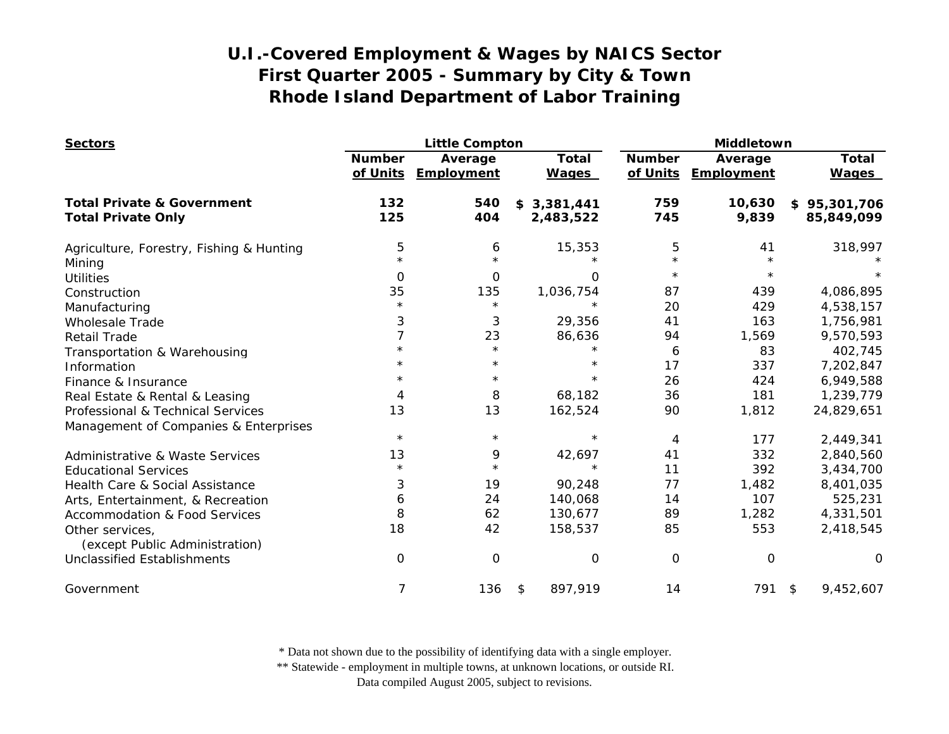| <b>Sectors</b>                                                     |                           | <b>Little Compton</b> |                              |                           | Middletown            |                              |  |
|--------------------------------------------------------------------|---------------------------|-----------------------|------------------------------|---------------------------|-----------------------|------------------------------|--|
|                                                                    | <b>Number</b><br>of Units | Average<br>Employment | <b>Total</b><br><b>Wages</b> | <b>Number</b><br>of Units | Average<br>Employment | <b>Total</b><br><b>Wages</b> |  |
| <b>Total Private &amp; Government</b><br><b>Total Private Only</b> | 132<br>125                | 540<br>404            | \$3,381,441<br>2,483,522     | 759<br>745                | 10,630<br>9,839       | \$95,301,706<br>85,849,099   |  |
|                                                                    |                           |                       |                              |                           |                       |                              |  |
| Agriculture, Forestry, Fishing & Hunting                           | 5                         | 6                     | 15,353                       | 5                         | 41                    | 318,997                      |  |
| Mining                                                             |                           | $\star$               |                              | $\star$                   | $\star$               |                              |  |
| <b>Utilities</b>                                                   | 0                         | $\mathbf 0$           | $\Omega$                     | $^\star$                  | $\star$               |                              |  |
| Construction                                                       | 35                        | 135                   | 1,036,754                    | 87                        | 439                   | 4,086,895                    |  |
| Manufacturing                                                      | $\star$                   | $\star$               | $\star$                      | 20                        | 429                   | 4,538,157                    |  |
| <b>Wholesale Trade</b>                                             | 3                         | 3                     | 29,356                       | 41                        | 163                   | 1,756,981                    |  |
| <b>Retail Trade</b>                                                | 7                         | 23                    | 86,636                       | 94                        | 1,569                 | 9,570,593                    |  |
| Transportation & Warehousing                                       | $\star$                   | $\star$               | $\star$                      | 6                         | 83                    | 402,745                      |  |
| Information                                                        |                           | $^\star$              | $\star$                      | 17                        | 337                   | 7,202,847                    |  |
| Finance & Insurance                                                |                           | $\star$               | $\star$                      | 26                        | 424                   | 6,949,588                    |  |
| Real Estate & Rental & Leasing                                     | 4                         | 8                     | 68,182                       | 36                        | 181                   | 1,239,779                    |  |
| Professional & Technical Services                                  | 13                        | 13                    | 162,524                      | 90                        | 1,812                 | 24,829,651                   |  |
| Management of Companies & Enterprises                              |                           |                       |                              |                           |                       |                              |  |
|                                                                    | $^\star$                  | $\star$               | $\star$                      | 4                         | 177                   | 2,449,341                    |  |
| <b>Administrative &amp; Waste Services</b>                         | 13                        | 9                     | 42,697                       | 41                        | 332                   | 2,840,560                    |  |
| <b>Educational Services</b>                                        | $\star$                   | $\star$               | $\star$                      | 11                        | 392                   | 3,434,700                    |  |
| Health Care & Social Assistance                                    | 3                         | 19                    | 90,248                       | 77                        | 1,482                 | 8,401,035                    |  |
| Arts, Entertainment, & Recreation                                  | 6                         | 24                    | 140,068                      | 14                        | 107                   | 525,231                      |  |
| <b>Accommodation &amp; Food Services</b>                           | 8                         | 62                    | 130,677                      | 89                        | 1,282                 | 4,331,501                    |  |
| Other services,<br>(except Public Administration)                  | 18                        | 42                    | 158,537                      | 85                        | 553                   | 2,418,545                    |  |
| <b>Unclassified Establishments</b>                                 | O                         | $\mathbf 0$           | O                            | 0                         | $\mathbf 0$           | $\Omega$                     |  |
| Government                                                         | 7                         | 136                   | 897,919<br>\$                | 14                        | 791 \$                | 9,452,607                    |  |

\* Data not shown due to the possibility of identifying data with a single employer.

\*\* Statewide - employment in multiple towns, at unknown locations, or outside RI.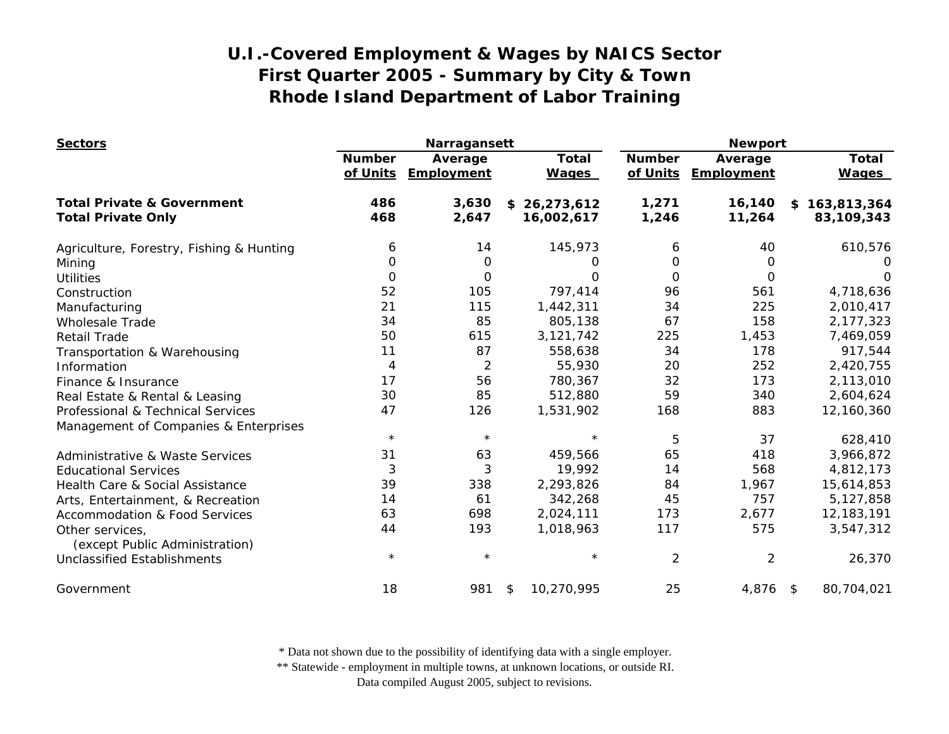| <b>Sectors</b>                                    |                           | Narragansett          |                              | <b>Newport</b>            |                       |                              |
|---------------------------------------------------|---------------------------|-----------------------|------------------------------|---------------------------|-----------------------|------------------------------|
|                                                   | <b>Number</b><br>of Units | Average<br>Employment | <b>Total</b><br><b>Wages</b> | <b>Number</b><br>of Units | Average<br>Employment | <b>Total</b><br><b>Wages</b> |
| <b>Total Private &amp; Government</b>             | 486                       | 3,630                 | 26,273,612<br>\$             | 1,271                     | 16,140                | \$163,813,364                |
| <b>Total Private Only</b>                         | 468                       | 2,647                 | 16,002,617                   | 1,246                     | 11,264                | 83,109,343                   |
| Agriculture, Forestry, Fishing & Hunting          | 6                         | 14                    | 145,973                      | 6                         | 40                    | 610,576                      |
| Mining                                            | 0                         | 0                     | 0                            | O                         | 0                     | O                            |
| <b>Utilities</b>                                  | 0                         | $\mathbf 0$           | 0                            | $\Omega$                  | $\Omega$              | O                            |
| Construction                                      | 52                        | 105                   | 797,414                      | 96                        | 561                   | 4,718,636                    |
| Manufacturing                                     | 21                        | 115                   | 1,442,311                    | 34                        | 225                   | 2,010,417                    |
| <b>Wholesale Trade</b>                            | 34                        | 85                    | 805,138                      | 67                        | 158                   | 2,177,323                    |
| <b>Retail Trade</b>                               | 50                        | 615                   | 3,121,742                    | 225                       | 1,453                 | 7,469,059                    |
| Transportation & Warehousing                      | 11                        | 87                    | 558,638                      | 34                        | 178                   | 917,544                      |
| Information                                       | 4                         | 2                     | 55,930                       | 20                        | 252                   | 2,420,755                    |
| Finance & Insurance                               | 17                        | 56                    | 780,367                      | 32                        | 173                   | 2,113,010                    |
| Real Estate & Rental & Leasing                    | 30                        | 85                    | 512,880                      | 59                        | 340                   | 2,604,624                    |
| Professional & Technical Services                 | 47                        | 126                   | 1,531,902                    | 168                       | 883                   | 12,160,360                   |
| Management of Companies & Enterprises             |                           |                       |                              |                           |                       |                              |
|                                                   | $\star$                   | $\star$               | $\star$                      | 5                         | 37                    | 628,410                      |
| Administrative & Waste Services                   | 31                        | 63                    | 459,566                      | 65                        | 418                   | 3,966,872                    |
| <b>Educational Services</b>                       | 3                         | 3                     | 19,992                       | 14                        | 568                   | 4,812,173                    |
| Health Care & Social Assistance                   | 39                        | 338                   | 2,293,826                    | 84                        | 1,967                 | 15,614,853                   |
| Arts, Entertainment, & Recreation                 | 14                        | 61                    | 342,268                      | 45                        | 757                   | 5,127,858                    |
| <b>Accommodation &amp; Food Services</b>          | 63                        | 698                   | 2,024,111                    | 173                       | 2,677                 | 12,183,191                   |
| Other services,<br>(except Public Administration) | 44                        | 193                   | 1,018,963                    | 117                       | 575                   | 3,547,312                    |
| <b>Unclassified Establishments</b>                | $\star$                   | $\star$               | $\star$                      | $\overline{2}$            | $\overline{2}$        | 26,370                       |
| Government                                        | 18                        | 981                   | 10,270,995<br>\$             | 25                        | $4,876$ \$            | 80,704,021                   |

\* Data not shown due to the possibility of identifying data with a single employer.

\*\* Statewide - employment in multiple towns, at unknown locations, or outside RI.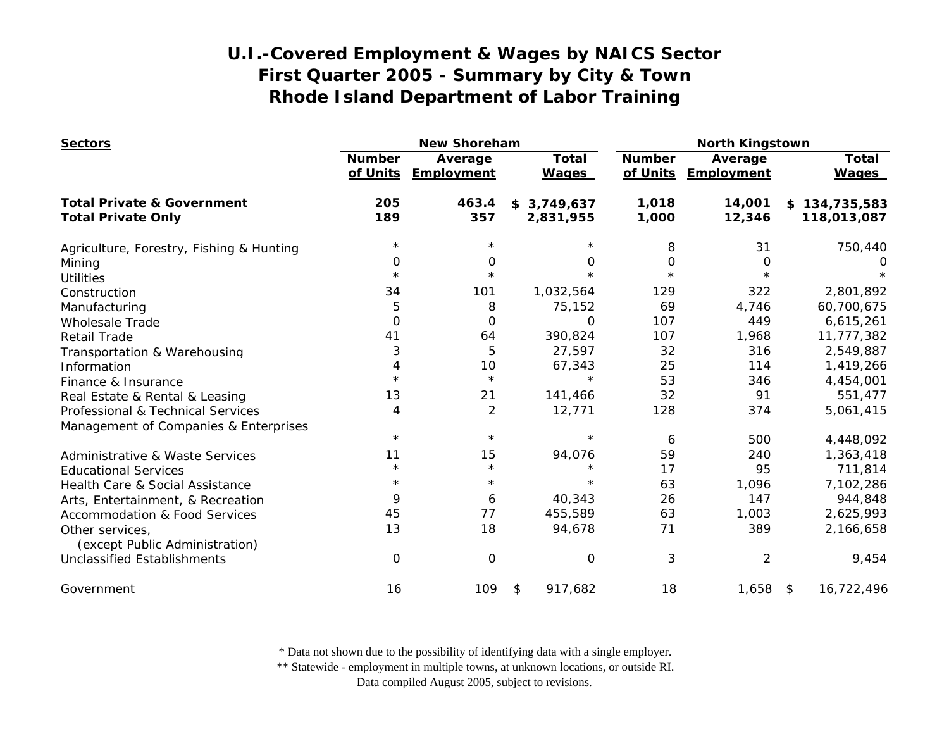| <b>Sectors</b>                                    |                           | <b>New Shoreham</b>          |                              |                           | <b>North Kingstown</b> |                       |  |  |
|---------------------------------------------------|---------------------------|------------------------------|------------------------------|---------------------------|------------------------|-----------------------|--|--|
|                                                   | <b>Number</b><br>of Units | Average<br><b>Employment</b> | <b>Total</b><br><b>Wages</b> | <b>Number</b><br>of Units | Average<br>Employment  | Total<br><b>Wages</b> |  |  |
| <b>Total Private &amp; Government</b>             | 205                       | 463.4                        | \$3,749,637                  | 1,018                     | 14,001                 | \$134,735,583         |  |  |
| <b>Total Private Only</b>                         | 189                       | 357                          | 2,831,955                    | 1,000                     | 12,346                 | 118,013,087           |  |  |
| Agriculture, Forestry, Fishing & Hunting          | $\star$                   | $\star$                      | $\star$                      | 8                         | 31                     | 750,440               |  |  |
| Mining                                            | 0                         | 0                            | 0                            | 0                         | 0                      | $\left( \right)$      |  |  |
| <b>Utilities</b>                                  | $^\star$                  | $\star$                      | $\star$                      | $\star$                   | $\star$                |                       |  |  |
| Construction                                      | 34                        | 101                          | 1,032,564                    | 129                       | 322                    | 2,801,892             |  |  |
| Manufacturing                                     | 5                         | 8                            | 75,152                       | 69                        | 4,746                  | 60,700,675            |  |  |
| <b>Wholesale Trade</b>                            | 0                         | 0                            | 0                            | 107                       | 449                    | 6,615,261             |  |  |
| <b>Retail Trade</b>                               | 41                        | 64                           | 390,824                      | 107                       | 1,968                  | 11,777,382            |  |  |
| Transportation & Warehousing                      | 3                         | 5                            | 27,597                       | 32                        | 316                    | 2,549,887             |  |  |
| Information                                       | 4                         | 10                           | 67,343                       | 25                        | 114                    | 1,419,266             |  |  |
| Finance & Insurance                               | $\star$                   | $\star$                      |                              | 53                        | 346                    | 4,454,001             |  |  |
| Real Estate & Rental & Leasing                    | 13                        | 21                           | 141,466                      | 32                        | 91                     | 551,477               |  |  |
| Professional & Technical Services                 | 4                         | 2                            | 12,771                       | 128                       | 374                    | 5,061,415             |  |  |
| Management of Companies & Enterprises             |                           |                              |                              |                           |                        |                       |  |  |
|                                                   | $\star$                   | $\star$                      | $\star$                      | 6                         | 500                    | 4,448,092             |  |  |
| <b>Administrative &amp; Waste Services</b>        | 11                        | 15                           | 94,076                       | 59                        | 240                    | 1,363,418             |  |  |
| <b>Educational Services</b>                       | $\star$                   | $\star$                      | $\star$                      | 17                        | 95                     | 711,814               |  |  |
| Health Care & Social Assistance                   | $^\star$                  | $\star$                      | $\star$                      | 63                        | 1,096                  | 7,102,286             |  |  |
| Arts, Entertainment, & Recreation                 | 9                         | 6                            | 40,343                       | 26                        | 147                    | 944,848               |  |  |
| <b>Accommodation &amp; Food Services</b>          | 45                        | 77                           | 455,589                      | 63                        | 1,003                  | 2,625,993             |  |  |
| Other services,<br>(except Public Administration) | 13                        | 18                           | 94,678                       | 71                        | 389                    | 2,166,658             |  |  |
| <b>Unclassified Establishments</b>                | 0                         | 0                            | $\Omega$                     | 3                         | $\overline{c}$         | 9,454                 |  |  |
| Government                                        | 16                        | 109                          | \$<br>917,682                | 18                        | 1,658                  | 16,722,496<br>\$      |  |  |

\* Data not shown due to the possibility of identifying data with a single employer.

\*\* Statewide - employment in multiple towns, at unknown locations, or outside RI.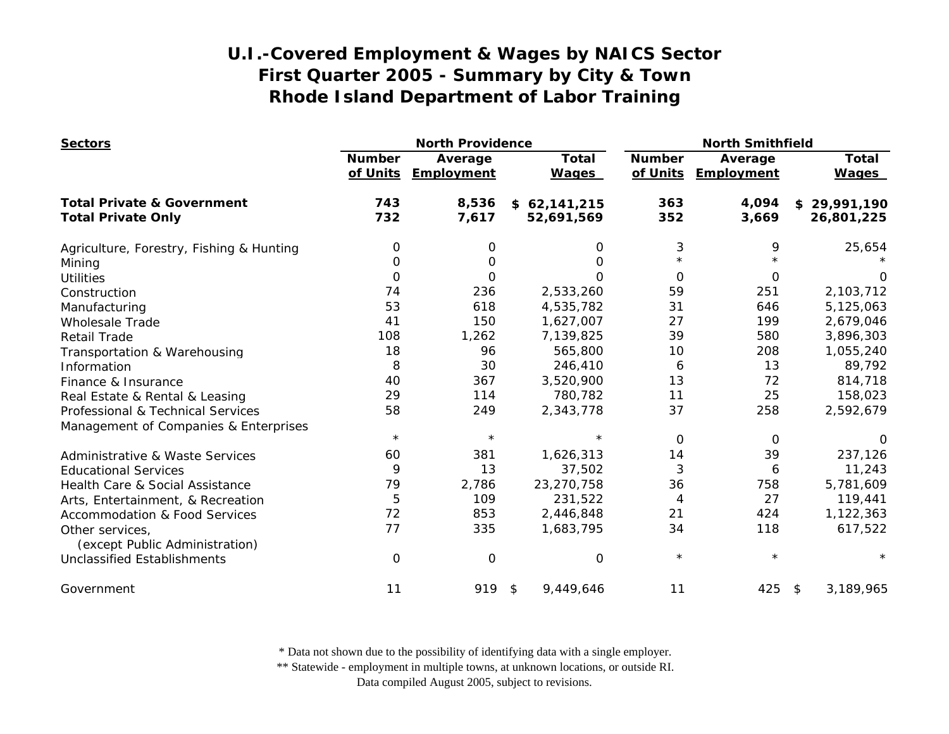| <b>Sectors</b>                                    | <b>North Providence</b>   |                       |                              | <b>North Smithfield</b>   |                       |                              |
|---------------------------------------------------|---------------------------|-----------------------|------------------------------|---------------------------|-----------------------|------------------------------|
|                                                   | <b>Number</b><br>of Units | Average<br>Employment | <b>Total</b><br><b>Wages</b> | <b>Number</b><br>of Units | Average<br>Employment | <b>Total</b><br><b>Wages</b> |
| <b>Total Private &amp; Government</b>             | 743                       | 8,536                 | \$62,141,215                 | 363                       | 4,094                 | \$29,991,190                 |
| <b>Total Private Only</b>                         | 732                       | 7,617                 | 52,691,569                   | 352                       | 3,669                 | 26,801,225                   |
| Agriculture, Forestry, Fishing & Hunting          | 0                         | 0                     | 0                            | 3                         | 9                     | 25,654                       |
| Mining                                            | 0                         | O                     | 0                            |                           |                       |                              |
| <b>Utilities</b>                                  | 0                         | 0                     | $\Omega$                     | 0                         | 0                     | O                            |
| Construction                                      | 74                        | 236                   | 2,533,260                    | 59                        | 251                   | 2,103,712                    |
| Manufacturing                                     | 53                        | 618                   | 4,535,782                    | 31                        | 646                   | 5,125,063                    |
| <b>Wholesale Trade</b>                            | 41                        | 150                   | 1,627,007                    | 27                        | 199                   | 2,679,046                    |
| <b>Retail Trade</b>                               | 108                       | 1,262                 | 7,139,825                    | 39                        | 580                   | 3,896,303                    |
| Transportation & Warehousing                      | 18                        | 96                    | 565,800                      | 10                        | 208                   | 1,055,240                    |
| Information                                       | 8                         | 30                    | 246,410                      | 6                         | 13                    | 89,792                       |
| Finance & Insurance                               | 40                        | 367                   | 3,520,900                    | 13                        | 72                    | 814,718                      |
| Real Estate & Rental & Leasing                    | 29                        | 114                   | 780,782                      | 11                        | 25                    | 158,023                      |
| Professional & Technical Services                 | 58                        | 249                   | 2,343,778                    | 37                        | 258                   | 2,592,679                    |
| Management of Companies & Enterprises             |                           |                       |                              |                           |                       |                              |
|                                                   | $\star$                   | $\star$               | $^\star$                     | $\Omega$                  | 0                     | $\Omega$                     |
| <b>Administrative &amp; Waste Services</b>        | 60                        | 381                   | 1,626,313                    | 14                        | 39                    | 237,126                      |
| <b>Educational Services</b>                       | 9                         | 13                    | 37,502                       | 3                         | 6                     | 11,243                       |
| Health Care & Social Assistance                   | 79                        | 2,786                 | 23,270,758                   | 36                        | 758                   | 5,781,609                    |
| Arts, Entertainment, & Recreation                 | 5                         | 109                   | 231,522                      | 4                         | 27                    | 119,441                      |
| <b>Accommodation &amp; Food Services</b>          | 72                        | 853                   | 2,446,848                    | 21                        | 424                   | 1,122,363                    |
| Other services,<br>(except Public Administration) | 77                        | 335                   | 1,683,795                    | 34                        | 118                   | 617,522                      |
| <b>Unclassified Establishments</b>                | $\mathbf 0$               | 0                     | $\mathbf 0$                  | $\star$                   | $\star$               |                              |
| Government                                        | 11                        | 919                   | 9,449,646<br>\$              | 11                        | 425                   | 3,189,965<br>\$              |

\* Data not shown due to the possibility of identifying data with a single employer.

\*\* Statewide - employment in multiple towns, at unknown locations, or outside RI.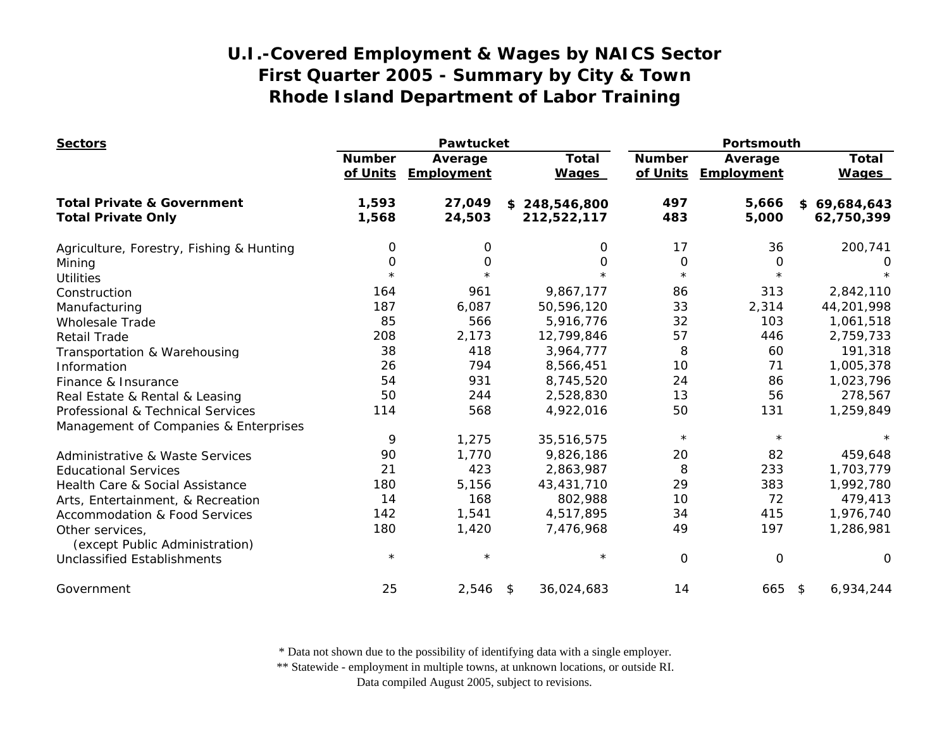| <b>Sectors</b>                                    | Pawtucket                 |                       |                              | Portsmouth                |                       |                              |
|---------------------------------------------------|---------------------------|-----------------------|------------------------------|---------------------------|-----------------------|------------------------------|
|                                                   | <b>Number</b><br>of Units | Average<br>Employment | <b>Total</b><br><b>Wages</b> | <b>Number</b><br>of Units | Average<br>Employment | <b>Total</b><br><b>Wages</b> |
| <b>Total Private &amp; Government</b>             | 1,593                     | 27,049                | \$248,546,800                | 497                       | 5,666                 | \$69,684,643                 |
| <b>Total Private Only</b>                         | 1,568                     | 24,503                | 212,522,117                  | 483                       | 5,000                 | 62,750,399                   |
| Agriculture, Forestry, Fishing & Hunting          | 0                         | 0                     | 0                            | 17                        | 36                    | 200,741                      |
| Mining                                            | 0                         | $\mathbf 0$           | 0                            | $\mathbf 0$               | O                     | 0                            |
| <b>Utilities</b>                                  | $\star$                   | $\star$               | $\star$                      | $\star$                   | $\star$               |                              |
| Construction                                      | 164                       | 961                   | 9,867,177                    | 86                        | 313                   | 2,842,110                    |
| Manufacturing                                     | 187                       | 6,087                 | 50,596,120                   | 33                        | 2,314                 | 44,201,998                   |
| <b>Wholesale Trade</b>                            | 85                        | 566                   | 5,916,776                    | 32                        | 103                   | 1,061,518                    |
| <b>Retail Trade</b>                               | 208                       | 2,173                 | 12,799,846                   | 57                        | 446                   | 2,759,733                    |
| Transportation & Warehousing                      | 38                        | 418                   | 3,964,777                    | 8                         | 60                    | 191,318                      |
| Information                                       | 26                        | 794                   | 8,566,451                    | 10                        | 71                    | 1,005,378                    |
| Finance & Insurance                               | 54                        | 931                   | 8,745,520                    | 24                        | 86                    | 1,023,796                    |
| Real Estate & Rental & Leasing                    | 50                        | 244                   | 2,528,830                    | 13                        | 56                    | 278,567                      |
| Professional & Technical Services                 | 114                       | 568                   | 4,922,016                    | 50                        | 131                   | 1,259,849                    |
| Management of Companies & Enterprises             |                           |                       |                              |                           |                       |                              |
|                                                   | 9                         | 1,275                 | 35,516,575                   | $\star$                   | $\star$               |                              |
| <b>Administrative &amp; Waste Services</b>        | 90                        | 1,770                 | 9,826,186                    | 20                        | 82                    | 459,648                      |
| <b>Educational Services</b>                       | 21                        | 423                   | 2,863,987                    | 8                         | 233                   | 1,703,779                    |
| Health Care & Social Assistance                   | 180                       | 5,156                 | 43,431,710                   | 29                        | 383                   | 1,992,780                    |
| Arts, Entertainment, & Recreation                 | 14                        | 168                   | 802,988                      | 10                        | 72                    | 479,413                      |
| <b>Accommodation &amp; Food Services</b>          | 142                       | 1,541                 | 4,517,895                    | 34                        | 415                   | 1,976,740                    |
| Other services,<br>(except Public Administration) | 180                       | 1,420                 | 7,476,968                    | 49                        | 197                   | 1,286,981                    |
| <b>Unclassified Establishments</b>                | $\star$                   | $\star$               | $\star$                      | 0                         | $\mathsf{O}\xspace$   | O                            |
| Government                                        | 25                        | 2,546                 | 36,024,683<br>\$             | 14                        | 665                   | 6,934,244<br>\$              |

\* Data not shown due to the possibility of identifying data with a single employer.

\*\* Statewide - employment in multiple towns, at unknown locations, or outside RI.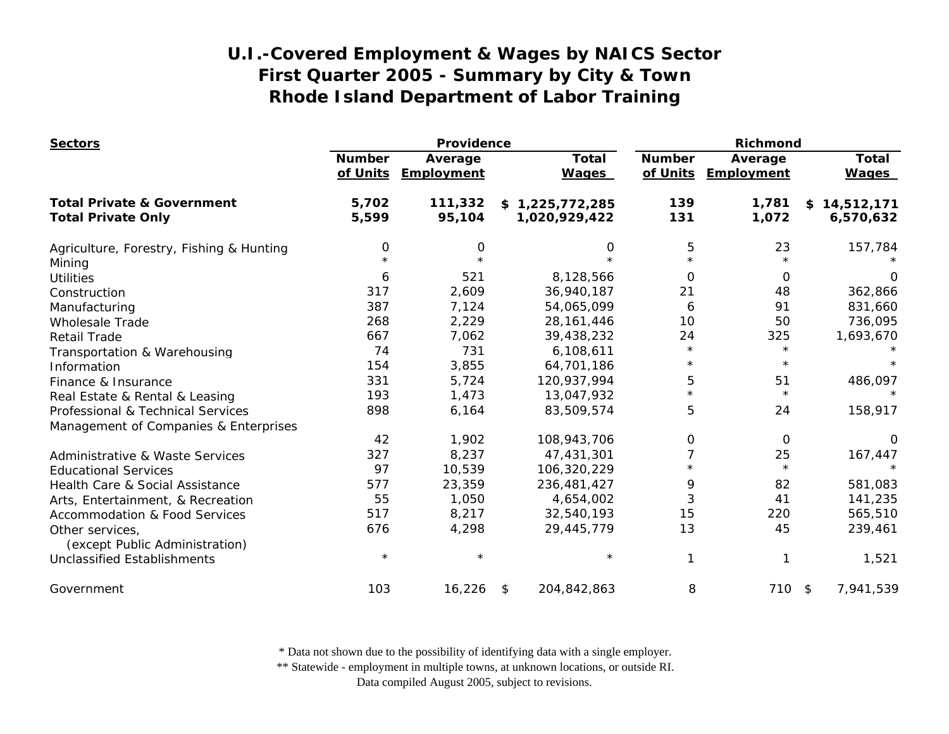| <b>Sectors</b>                                    | Providence                |                       |                   |                              | Richmond                  |                       |                              |
|---------------------------------------------------|---------------------------|-----------------------|-------------------|------------------------------|---------------------------|-----------------------|------------------------------|
|                                                   | <b>Number</b><br>of Units | Average<br>Employment |                   | <b>Total</b><br><b>Wages</b> | <b>Number</b><br>of Units | Average<br>Employment | <b>Total</b><br><b>Wages</b> |
| <b>Total Private &amp; Government</b>             | 5,702                     | 111,332               | \$1,225,772,285   |                              | 139                       | 1,781                 | 14,512,171<br>\$             |
| <b>Total Private Only</b>                         | 5,599                     | 95,104                | 1,020,929,422     |                              | 131                       | 1,072                 | 6,570,632                    |
| Agriculture, Forestry, Fishing & Hunting          | 0                         | 0                     |                   | 0                            | 5                         | 23                    | 157,784                      |
| Mining                                            |                           |                       |                   |                              | $\star$                   |                       |                              |
| <b>Utilities</b>                                  | 6                         | 521                   | 8,128,566         |                              | 0                         | $\Omega$              | 0                            |
| Construction                                      | 317                       | 2,609                 | 36,940,187        |                              | 21                        | 48                    | 362,866                      |
| Manufacturing                                     | 387                       | 7,124                 | 54,065,099        |                              | 6                         | 91                    | 831,660                      |
| <b>Wholesale Trade</b>                            | 268                       | 2,229                 | 28, 161, 446      |                              | 10                        | 50                    | 736,095                      |
| <b>Retail Trade</b>                               | 667                       | 7,062                 | 39,438,232        |                              | 24                        | 325                   | 1,693,670                    |
| Transportation & Warehousing                      | 74                        | 731                   | 6,108,611         |                              | $\star$                   | $\star$               |                              |
| Information                                       | 154                       | 3,855                 | 64,701,186        |                              | $^\star$                  | $\star$               |                              |
| Finance & Insurance                               | 331                       | 5,724                 | 120,937,994       |                              | 5                         | 51                    | 486,097                      |
| Real Estate & Rental & Leasing                    | 193                       | 1,473                 | 13,047,932        |                              | $\star$                   | $\star$               | $\star$                      |
| Professional & Technical Services                 | 898                       | 6,164                 | 83,509,574        |                              | 5                         | 24                    | 158,917                      |
| Management of Companies & Enterprises             |                           |                       |                   |                              |                           |                       |                              |
|                                                   | 42                        | 1,902                 | 108,943,706       |                              | 0                         | $\Omega$              | 0                            |
| <b>Administrative &amp; Waste Services</b>        | 327                       | 8,237                 | 47,431,301        |                              | 7                         | 25                    | 167,447                      |
| <b>Educational Services</b>                       | 97                        | 10,539                | 106,320,229       |                              | $\star$                   | $\star$               | $\star$                      |
| Health Care & Social Assistance                   | 577                       | 23,359                | 236,481,427       |                              | 9                         | 82                    | 581,083                      |
| Arts, Entertainment, & Recreation                 | 55                        | 1,050                 | 4,654,002         |                              | 3                         | 41                    | 141,235                      |
| <b>Accommodation &amp; Food Services</b>          | 517                       | 8,217                 | 32,540,193        |                              | 15                        | 220                   | 565,510                      |
| Other services,<br>(except Public Administration) | 676                       | 4,298                 | 29,445,779        |                              | 13                        | 45                    | 239,461                      |
| Unclassified Establishments                       | $\star$                   |                       |                   | $\star$                      | 1                         |                       | 1,521                        |
| Government                                        | 103                       | 16,226                | 204,842,863<br>\$ |                              | 8                         | 710 \$                | 7,941,539                    |

\* Data not shown due to the possibility of identifying data with a single employer.

\*\* Statewide - employment in multiple towns, at unknown locations, or outside RI.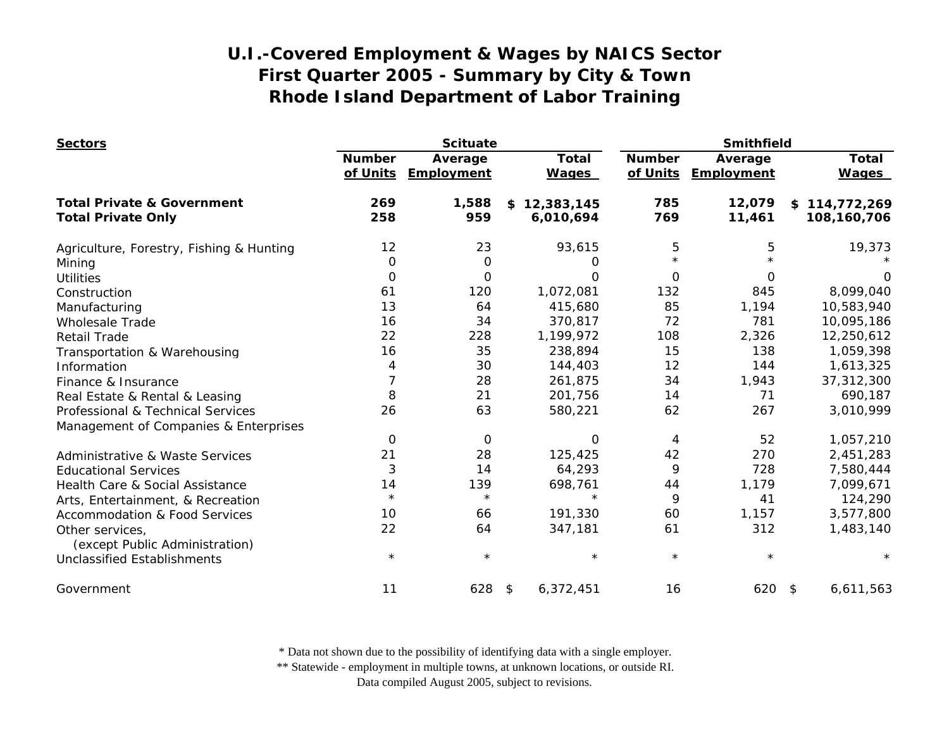| <b>Sectors</b>                             | <b>Scituate</b>           |                       |                              | Smithfield                |                       |                              |
|--------------------------------------------|---------------------------|-----------------------|------------------------------|---------------------------|-----------------------|------------------------------|
|                                            | <b>Number</b><br>of Units | Average<br>Employment | <b>Total</b><br><b>Wages</b> | <b>Number</b><br>of Units | Average<br>Employment | <b>Total</b><br><b>Wages</b> |
| <b>Total Private &amp; Government</b>      | 269                       | 1,588                 | 12,383,145<br>\$             | 785                       | 12,079                | \$114,772,269                |
| <b>Total Private Only</b>                  | 258                       | 959                   | 6,010,694                    | 769                       | 11,461                | 108,160,706                  |
| Agriculture, Forestry, Fishing & Hunting   | 12                        | 23                    | 93,615                       | 5                         | 5                     | 19,373                       |
| Mining                                     | O                         | $\mathbf 0$           | 0                            | $\star$                   |                       |                              |
| <b>Utilities</b>                           | 0                         | O                     | Ω                            | $\Omega$                  | $\Omega$              | $\Omega$                     |
| Construction                               | 61                        | 120                   | 1,072,081                    | 132                       | 845                   | 8,099,040                    |
| Manufacturing                              | 13                        | 64                    | 415,680                      | 85                        | 1,194                 | 10,583,940                   |
| <b>Wholesale Trade</b>                     | 16                        | 34                    | 370,817                      | 72                        | 781                   | 10,095,186                   |
| <b>Retail Trade</b>                        | 22                        | 228                   | 1,199,972                    | 108                       | 2,326                 | 12,250,612                   |
| Transportation & Warehousing               | 16                        | 35                    | 238,894                      | 15                        | 138                   | 1,059,398                    |
| Information                                | 4                         | 30                    | 144,403                      | 12                        | 144                   | 1,613,325                    |
| Finance & Insurance                        | 7                         | 28                    | 261,875                      | 34                        | 1,943                 | 37,312,300                   |
| Real Estate & Rental & Leasing             | 8                         | 21                    | 201,756                      | 14                        | 71                    | 690,187                      |
| Professional & Technical Services          | 26                        | 63                    | 580,221                      | 62                        | 267                   | 3,010,999                    |
| Management of Companies & Enterprises      |                           |                       |                              |                           |                       |                              |
|                                            | 0                         | O                     | 0                            | 4                         | 52                    | 1,057,210                    |
| <b>Administrative &amp; Waste Services</b> | 21                        | 28                    | 125,425                      | 42                        | 270                   | 2,451,283                    |
| <b>Educational Services</b>                | 3                         | 14                    | 64,293                       | 9                         | 728                   | 7,580,444                    |
| Health Care & Social Assistance            | 14                        | 139                   | 698,761                      | 44                        | 1,179                 | 7,099,671                    |
| Arts, Entertainment, & Recreation          | $\star$                   | $\star$               | $\star$                      | 9                         | 41                    | 124,290                      |
| <b>Accommodation &amp; Food Services</b>   | 10                        | 66                    | 191,330                      | 60                        | 1,157                 | 3,577,800                    |
| Other services,                            | 22                        | 64                    | 347,181                      | 61                        | 312                   | 1,483,140                    |
| (except Public Administration)             |                           |                       |                              |                           |                       |                              |
| <b>Unclassified Establishments</b>         | $\star$                   | $\star$               | $\star$                      | $\star$                   | $\star$               |                              |
| Government                                 | 11                        | 628                   | 6,372,451<br>\$              | 16                        | $620$ \$              | 6,611,563                    |

\* Data not shown due to the possibility of identifying data with a single employer.

\*\* Statewide - employment in multiple towns, at unknown locations, or outside RI.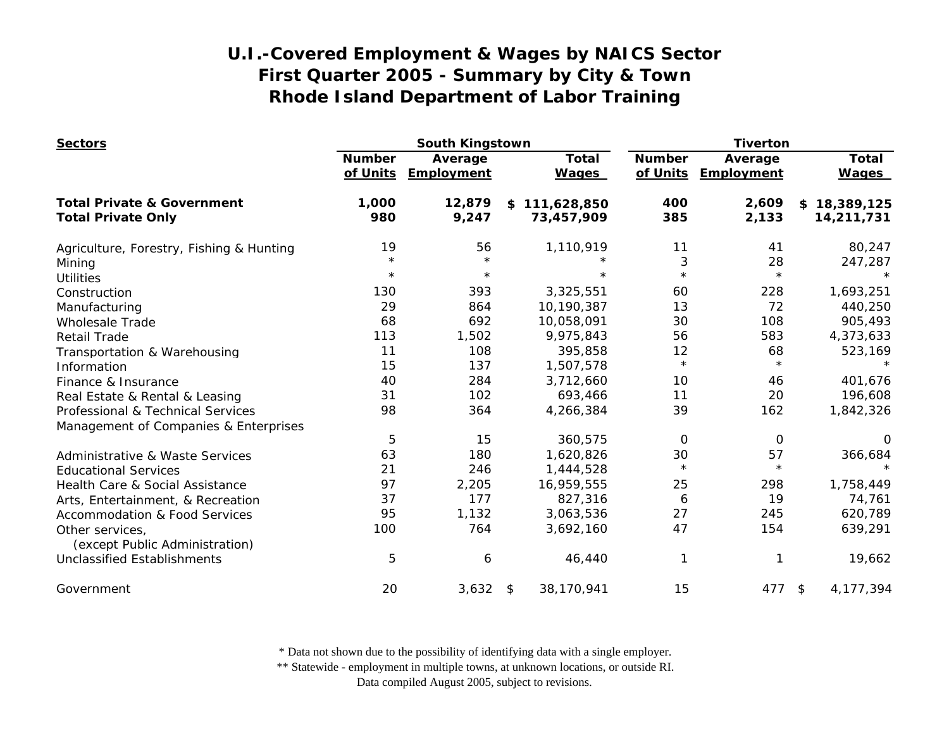| <b>Sectors</b>                                    | South Kingstown           |                       |                              | <b>Tiverton</b>           |                       |                              |
|---------------------------------------------------|---------------------------|-----------------------|------------------------------|---------------------------|-----------------------|------------------------------|
|                                                   | <b>Number</b><br>of Units | Average<br>Employment | <b>Total</b><br><b>Wages</b> | <b>Number</b><br>of Units | Average<br>Employment | <b>Total</b><br><b>Wages</b> |
| <b>Total Private &amp; Government</b>             | 1,000                     | 12,879                | 111,628,850<br>\$            | 400                       | 2,609                 | 18,389,125<br>\$             |
| <b>Total Private Only</b>                         | 980                       | 9,247                 | 73,457,909                   | 385                       | 2,133                 | 14,211,731                   |
| Agriculture, Forestry, Fishing & Hunting          | 19                        | 56                    | 1,110,919                    | 11                        | 41                    | 80,247                       |
| Mining                                            | $\star$                   | $\star$               | $\star$                      | 3                         | 28                    | 247,287                      |
| <b>Utilities</b>                                  | $\star$                   | $\star$               | $\star$                      | $\star$                   | $\star$               | $\star$                      |
| Construction                                      | 130                       | 393                   | 3,325,551                    | 60                        | 228                   | 1,693,251                    |
| Manufacturing                                     | 29                        | 864                   | 10,190,387                   | 13                        | 72                    | 440,250                      |
| <b>Wholesale Trade</b>                            | 68                        | 692                   | 10,058,091                   | 30                        | 108                   | 905,493                      |
| <b>Retail Trade</b>                               | 113                       | 1,502                 | 9,975,843                    | 56                        | 583                   | 4,373,633                    |
| Transportation & Warehousing                      | 11                        | 108                   | 395,858                      | 12                        | 68                    | 523,169                      |
| Information                                       | 15                        | 137                   | 1,507,578                    | $\star$                   | $\star$               |                              |
| Finance & Insurance                               | 40                        | 284                   | 3,712,660                    | 10                        | 46                    | 401,676                      |
| Real Estate & Rental & Leasing                    | 31                        | 102                   | 693,466                      | 11                        | 20                    | 196,608                      |
| Professional & Technical Services                 | 98                        | 364                   | 4,266,384                    | 39                        | 162                   | 1,842,326                    |
| Management of Companies & Enterprises             |                           |                       |                              |                           |                       |                              |
|                                                   | 5                         | 15                    | 360,575                      | 0                         | 0                     | $\Omega$                     |
| Administrative & Waste Services                   | 63                        | 180                   | 1,620,826                    | 30                        | 57                    | 366,684                      |
| <b>Educational Services</b>                       | 21                        | 246                   | 1,444,528                    | $\star$                   | $\star$               |                              |
| Health Care & Social Assistance                   | 97                        | 2,205                 | 16,959,555                   | 25                        | 298                   | 1,758,449                    |
| Arts, Entertainment, & Recreation                 | 37                        | 177                   | 827,316                      | 6                         | 19                    | 74,761                       |
| <b>Accommodation &amp; Food Services</b>          | 95                        | 1,132                 | 3,063,536                    | 27                        | 245                   | 620,789                      |
| Other services,<br>(except Public Administration) | 100                       | 764                   | 3,692,160                    | 47                        | 154                   | 639,291                      |
| <b>Unclassified Establishments</b>                | 5                         | 6                     | 46,440                       |                           |                       | 19,662                       |
| Government                                        | 20                        | 3,632                 | 38,170,941<br>$\sqrt{2}$     | 15                        | 477                   | 4,177,394<br>\$              |

\* Data not shown due to the possibility of identifying data with a single employer.

\*\* Statewide - employment in multiple towns, at unknown locations, or outside RI.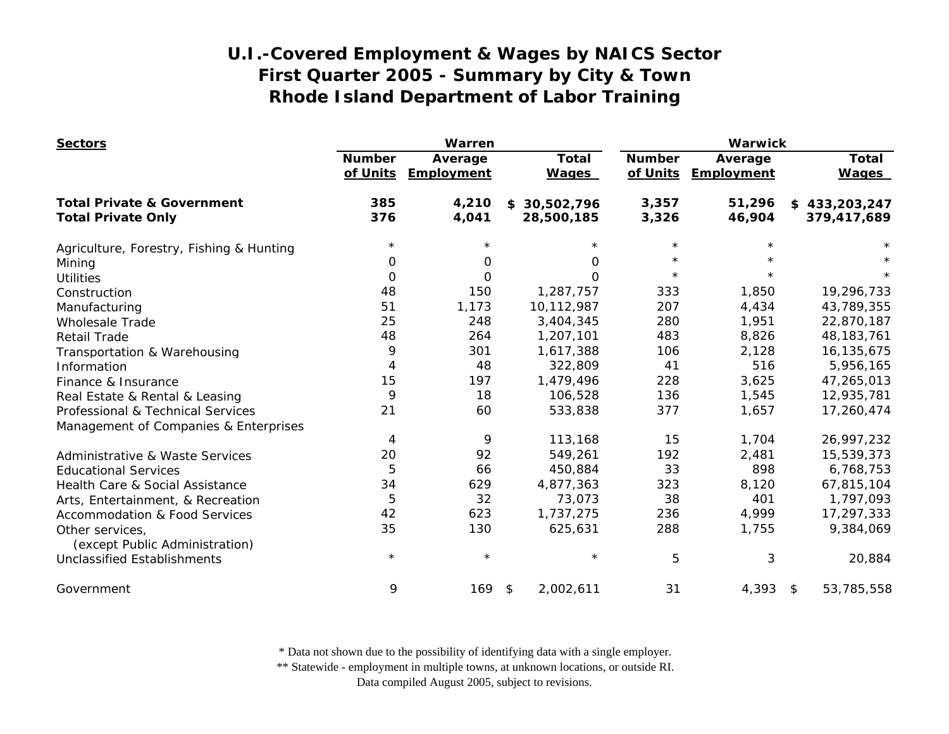| <b>Sectors</b>                                    | Warren                    |                       |                              | <b>Warwick</b>            |                       |                              |
|---------------------------------------------------|---------------------------|-----------------------|------------------------------|---------------------------|-----------------------|------------------------------|
|                                                   | <b>Number</b><br>of Units | Average<br>Employment | <b>Total</b><br><b>Wages</b> | <b>Number</b><br>of Units | Average<br>Employment | <b>Total</b><br><b>Wages</b> |
| <b>Total Private &amp; Government</b>             | 385                       | 4,210                 | \$30,502,796                 | 3,357                     | 51,296                | \$433,203,247                |
| <b>Total Private Only</b>                         | 376                       | 4,041                 | 28,500,185                   | 3,326                     | 46,904                | 379,417,689                  |
| Agriculture, Forestry, Fishing & Hunting          | $\star$                   | $^\star$              |                              | $\star$                   |                       |                              |
| Mining                                            | 0                         | 0                     | 0                            | $\star$                   |                       |                              |
| <b>Utilities</b>                                  | 0                         | 0                     | $\Omega$                     | $\star$                   |                       |                              |
| Construction                                      | 48                        | 150                   | 1,287,757                    | 333                       | 1,850                 | 19,296,733                   |
| Manufacturing                                     | 51                        | 1,173                 | 10,112,987                   | 207                       | 4,434                 | 43,789,355                   |
| <b>Wholesale Trade</b>                            | 25                        | 248                   | 3,404,345                    | 280                       | 1,951                 | 22,870,187                   |
| <b>Retail Trade</b>                               | 48                        | 264                   | 1,207,101                    | 483                       | 8,826                 | 48, 183, 761                 |
| Transportation & Warehousing                      | 9                         | 301                   | 1,617,388                    | 106                       | 2,128                 | 16,135,675                   |
| Information                                       | $\overline{4}$            | 48                    | 322,809                      | 41                        | 516                   | 5,956,165                    |
| Finance & Insurance                               | 15                        | 197                   | 1,479,496                    | 228                       | 3,625                 | 47,265,013                   |
| Real Estate & Rental & Leasing                    | 9                         | 18                    | 106,528                      | 136                       | 1,545                 | 12,935,781                   |
| Professional & Technical Services                 | 21                        | 60                    | 533,838                      | 377                       | 1,657                 | 17,260,474                   |
| Management of Companies & Enterprises             |                           |                       |                              |                           |                       |                              |
|                                                   | 4                         | 9                     | 113,168                      | 15                        | 1,704                 | 26,997,232                   |
| <b>Administrative &amp; Waste Services</b>        | 20                        | 92                    | 549,261                      | 192                       | 2,481                 | 15,539,373                   |
| <b>Educational Services</b>                       | 5                         | 66                    | 450,884                      | 33                        | 898                   | 6,768,753                    |
| Health Care & Social Assistance                   | 34                        | 629                   | 4,877,363                    | 323                       | 8,120                 | 67,815,104                   |
| Arts, Entertainment, & Recreation                 | 5                         | 32                    | 73,073                       | 38                        | 401                   | 1,797,093                    |
| <b>Accommodation &amp; Food Services</b>          | 42                        | 623                   | 1,737,275                    | 236                       | 4,999                 | 17,297,333                   |
| Other services,<br>(except Public Administration) | 35                        | 130                   | 625,631                      | 288                       | 1,755                 | 9,384,069                    |
| <b>Unclassified Establishments</b>                | $\star$                   | $\star$               | $\star$                      | 5                         | 3                     | 20,884                       |
| Government                                        | 9                         | 169                   | 2,002,611<br>\$              | 31                        | 4,393                 | 53,785,558<br>$^{\circ}$     |

\* Data not shown due to the possibility of identifying data with a single employer.

\*\* Statewide - employment in multiple towns, at unknown locations, or outside RI.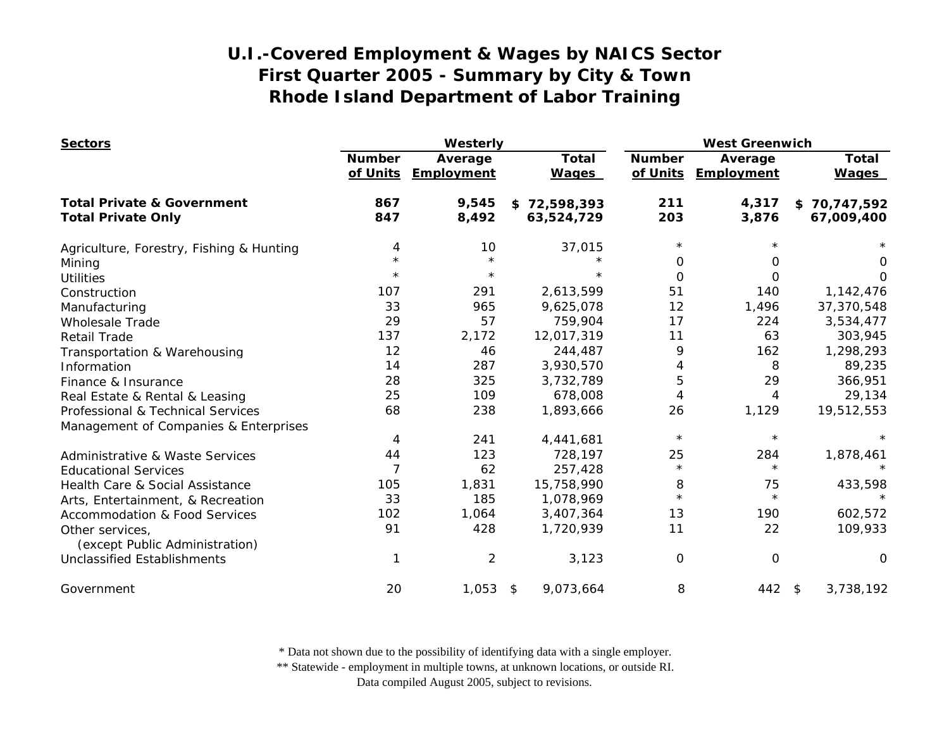| <b>Sectors</b>                                    | Westerly                  |                              |                              | <b>West Greenwich</b>     |                       |                              |
|---------------------------------------------------|---------------------------|------------------------------|------------------------------|---------------------------|-----------------------|------------------------------|
|                                                   | <b>Number</b><br>of Units | Average<br><b>Employment</b> | <b>Total</b><br><b>Wages</b> | <b>Number</b><br>of Units | Average<br>Employment | <b>Total</b><br><b>Wages</b> |
| <b>Total Private &amp; Government</b>             | 867                       | 9,545                        | \$72,598,393                 | 211                       | 4,317                 | \$70,747,592                 |
| <b>Total Private Only</b>                         | 847                       | 8,492                        | 63,524,729                   | 203                       | 3,876                 | 67,009,400                   |
| Agriculture, Forestry, Fishing & Hunting          | 4                         | 10                           | 37,015                       | $^\star$                  |                       |                              |
| Mining                                            | $\star$                   | $\star$                      | $\star$                      | $\Omega$                  | 0                     | 0                            |
| <b>Utilities</b>                                  | $\star$                   | $\star$                      | $\star$                      | $\Omega$                  | 0                     | O                            |
| Construction                                      | 107                       | 291                          | 2,613,599                    | 51                        | 140                   | 1,142,476                    |
| Manufacturing                                     | 33                        | 965                          | 9,625,078                    | 12                        | 1,496                 | 37,370,548                   |
| <b>Wholesale Trade</b>                            | 29                        | 57                           | 759,904                      | 17                        | 224                   | 3,534,477                    |
| <b>Retail Trade</b>                               | 137                       | 2,172                        | 12,017,319                   | 11                        | 63                    | 303,945                      |
| Transportation & Warehousing                      | 12                        | 46                           | 244,487                      | 9                         | 162                   | 1,298,293                    |
| Information                                       | 14                        | 287                          | 3,930,570                    | 4                         | 8                     | 89,235                       |
| Finance & Insurance                               | 28                        | 325                          | 3,732,789                    | 5                         | 29                    | 366,951                      |
| Real Estate & Rental & Leasing                    | 25                        | 109                          | 678,008                      | 4                         | 4                     | 29,134                       |
| Professional & Technical Services                 | 68                        | 238                          | 1,893,666                    | 26                        | 1,129                 | 19,512,553                   |
| Management of Companies & Enterprises             |                           |                              |                              |                           |                       |                              |
|                                                   | 4                         | 241                          | 4,441,681                    | $\star$                   | $\star$               |                              |
| Administrative & Waste Services                   | 44                        | 123                          | 728,197                      | 25                        | 284                   | 1,878,461                    |
| <b>Educational Services</b>                       | $\overline{7}$            | 62                           | 257,428                      | $\star$                   | $\star$               |                              |
| Health Care & Social Assistance                   | 105                       | 1,831                        | 15,758,990                   | 8                         | 75                    | 433,598                      |
| Arts, Entertainment, & Recreation                 | 33                        | 185                          | 1,078,969                    | $\star$                   | $\star$               |                              |
| <b>Accommodation &amp; Food Services</b>          | 102                       | 1,064                        | 3,407,364                    | 13                        | 190                   | 602,572                      |
| Other services,<br>(except Public Administration) | 91                        | 428                          | 1,720,939                    | 11                        | 22                    | 109,933                      |
| <b>Unclassified Establishments</b>                | 1                         | $\overline{2}$               | 3,123                        | 0                         | $\mathbf 0$           | $\Omega$                     |
| Government                                        | 20                        | $1,053$ \$                   | 9,073,664                    | 8                         | $442$ \$              | 3,738,192                    |

\* Data not shown due to the possibility of identifying data with a single employer.

\*\* Statewide - employment in multiple towns, at unknown locations, or outside RI.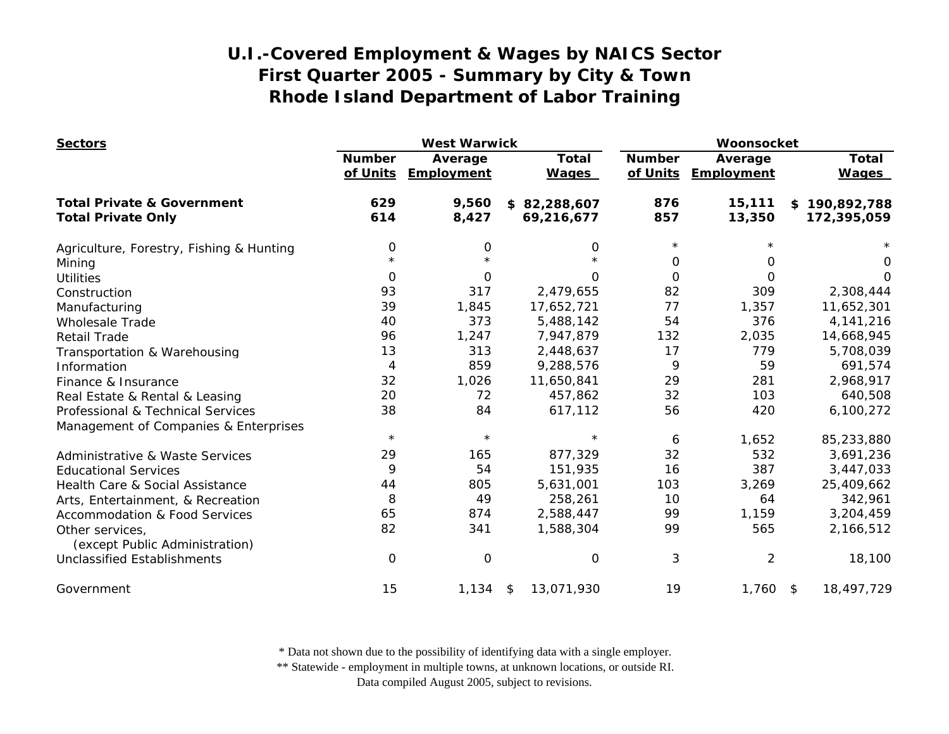| <b>Sectors</b>                                                       | <b>West Warwick</b>       |                       |                              | Woonsocket                |                       |                              |
|----------------------------------------------------------------------|---------------------------|-----------------------|------------------------------|---------------------------|-----------------------|------------------------------|
|                                                                      | <b>Number</b><br>of Units | Average<br>Employment | <b>Total</b><br><b>Wages</b> | <b>Number</b><br>of Units | Average<br>Employment | <b>Total</b><br><b>Wages</b> |
| <b>Total Private &amp; Government</b>                                | 629                       | 9,560                 | \$82,288,607                 | 876                       | 15,111                | \$190,892,788                |
| <b>Total Private Only</b>                                            | 614                       | 8,427                 | 69,216,677                   | 857                       | 13,350                | 172,395,059                  |
| Agriculture, Forestry, Fishing & Hunting                             | 0                         | 0                     | 0                            | $\star$                   |                       |                              |
| Mining                                                               | $\star$                   | $\star$               |                              | 0                         | O                     | 0                            |
| <b>Utilities</b>                                                     | $\Omega$                  | $\Omega$              | 0                            | $\Omega$                  | $\Omega$              | O                            |
| Construction                                                         | 93                        | 317                   | 2,479,655                    | 82                        | 309                   | 2,308,444                    |
| Manufacturing                                                        | 39                        | 1,845                 | 17,652,721                   | 77                        | 1,357                 | 11,652,301                   |
| <b>Wholesale Trade</b>                                               | 40                        | 373                   | 5,488,142                    | 54                        | 376                   | 4, 141, 216                  |
| <b>Retail Trade</b>                                                  | 96                        | 1,247                 | 7,947,879                    | 132                       | 2,035                 | 14,668,945                   |
| Transportation & Warehousing                                         | 13                        | 313                   | 2,448,637                    | 17                        | 779                   | 5,708,039                    |
| Information                                                          | 4                         | 859                   | 9,288,576                    | 9                         | 59                    | 691,574                      |
| Finance & Insurance                                                  | 32                        | 1,026                 | 11,650,841                   | 29                        | 281                   | 2,968,917                    |
| Real Estate & Rental & Leasing                                       | 20                        | 72                    | 457,862                      | 32                        | 103                   | 640,508                      |
| Professional & Technical Services                                    | 38                        | 84                    | 617,112                      | 56                        | 420                   | 6,100,272                    |
| Management of Companies & Enterprises                                |                           |                       |                              |                           |                       |                              |
|                                                                      | $\star$                   | $\star$               | $\star$                      | 6                         | 1,652                 | 85,233,880                   |
| Administrative & Waste Services                                      | 29                        | 165                   | 877,329                      | 32                        | 532                   | 3,691,236                    |
| <b>Educational Services</b>                                          | 9                         | 54                    | 151,935                      | 16                        | 387                   | 3,447,033                    |
| Health Care & Social Assistance                                      | 44                        | 805                   | 5,631,001                    | 103                       | 3,269                 | 25,409,662                   |
| Arts, Entertainment, & Recreation                                    | 8                         | 49                    | 258,261                      | 10                        | 64                    | 342,961                      |
| <b>Accommodation &amp; Food Services</b>                             | 65                        | 874                   | 2,588,447                    | 99                        | 1,159                 | 3,204,459                    |
| Other services,                                                      | 82                        | 341                   | 1,588,304                    | 99                        | 565                   | 2,166,512                    |
| (except Public Administration)<br><b>Unclassified Establishments</b> | 0                         | $\overline{O}$        | 0                            | 3                         | $\overline{2}$        | 18,100                       |
|                                                                      |                           |                       |                              |                           |                       |                              |
| Government                                                           | 15                        | 1,134                 | 13,071,930<br>\$             | 19                        | $1,760$ \$            | 18,497,729                   |

\* Data not shown due to the possibility of identifying data with a single employer.

\*\* Statewide - employment in multiple towns, at unknown locations, or outside RI.